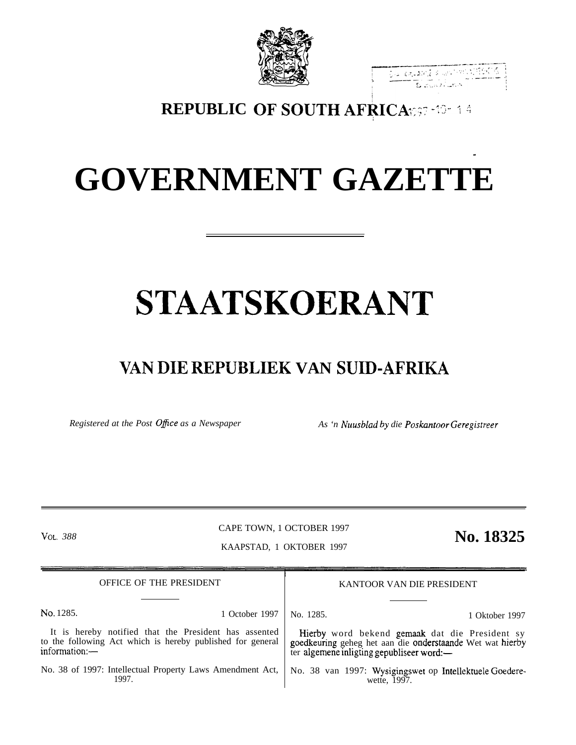



.

# **REPUBLIC OF SOUTH AFRICACS7 -10-144**

# **GOVERNMENT GAZETTE**

# **STAATSKOERANT**

# **VAN DIE REPUBLIEK VAN SUID-AFRIKA**

*Registered at the Post OJjice as a Newspaper As 'n Nuusblad by die Poskantoor Geregistreer*

*VOL. 388*

CAPE TOWN, 1 OCTOBER 1997 KAAPSTAD, 1 OKTOBER 1997

**No. 18325**

OFFICE OF THE PRESIDENT h'O. 1285. 1 October 1997 It is hereby notified that the President has assented to the following Act which is hereby published for general inforrnation:— No. 38 of 1997: Intellectual Property Laws Amendment Act, 1997. KANTOOR VAN DIE PRESIDENT No. 1285. 1 Oktober 1997 Hierby word bekend gemaak dat die President sy goedkeuring geheg het aan die onderstaande Wet wat hierby ter algemene inligting gepubliseer word:— No. 38 van 1997: Wysigingswet op Intellektuele Goederewette, 1997.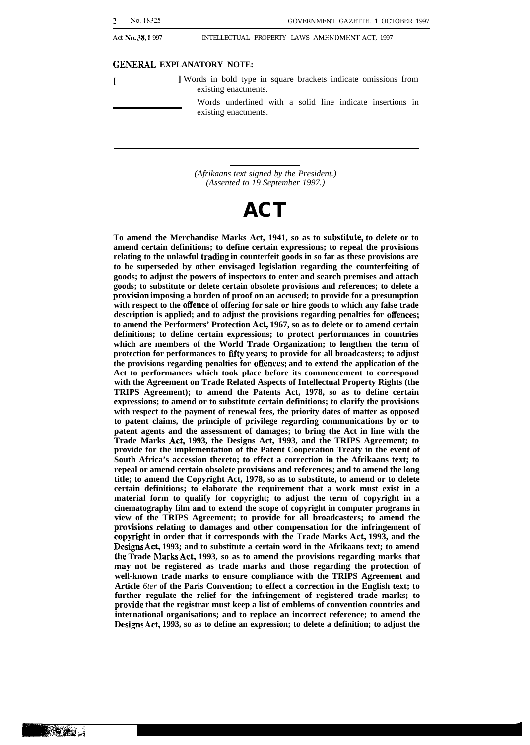**[**

Act No. 38. 1997 INTELLECTUAL PROPERTY LAWS AMENDMENT ACT, 1997

#### **GENERAL EXPLANATORY NOTE:**

**]** Words in bold type in square brackets indicate omissions from existing enactments.

> Words underlined with a solid line indicate insertions in existing enactments.

*(Afrikaans text signed by the President.) (Assented to 19 September 1997.)*

# **ACT**

To amend the Merchandise Marks Act, 1941, so as to substitute, to delete or to **amend certain definitions; to define certain expressions; to repeal the provisions relating to the unlawful tradhg in counterfeit goods in so far as these provisions are to be superseded by other envisaged legislation regarding the counterfeiting of goods; to adjust the powers of inspectors to enter and search premises and attach goods; to substitute or delete certain obsolete provisions and references; to delete a** provision imposing a burden of proof on an accused; to provide for a presumption **with respect to the offence of offering for sale or hire goods to which any false trade description is applied; and to adjust the provisions regarding penalties for offences;** to amend the Performers' Protection Act, 1967, so as to delete or to amend certain **definitions; to define certain expressions; to protect performances in countries which are members of the World Trade Organization; to lengthen the term of protection for performances to tifty years; to provide for all broadcasters; to adjust the provisions regarding penalties for offences; and to extend the application of the Act to performances which took place before its commencement to correspond with the Agreement on Trade Related Aspects of Intellectual Property Rights (the TRIPS Agreement); to amend the Patents Act, 1978, so as to define certain expressions; to amend or to substitute certain definitions; to clarify the provisions with respect to the payment of renewal fees, the priority dates of matter as opposed to patent claims, the principle of privilege regardhg communications by or to patent agents and the assessment of damages; to bring the Act in line with the** Trade Marks Act, 1993, the Designs Act, 1993, and the TRIPS Agreement; to **provide for the implementation of the Patent Cooperation Treaty in the event of South Africa's accession thereto; to effect a correction in the Afrikaans text; to repeal or amend certain obsolete provisions and references; and to amend the long title; to amend the Copyright Act, 1978, so as to substitute, to amend or to delete certain definitions; to elaborate the requirement that a work must exist in a material form to qualify for copyright; to adjust the term of copyright in a cinematography film and to extend the scope of copyright in computer programs in view of the TRIPS Agreement; to provide for all broadcasters; to amend the provisions relating to damages and other compensation for the infringement of copvright in order that it corresponds with the Trade Marks Ac6 1993, and the** Designs Act, 1993; and to substitute a certain word in the Afrikaans text; to amend **the Trade Marks Act, 1993, so as to amend the provisions regarding marks that may not be registered as trade marks and those regarding the protection of well-known trade marks to ensure compliance with the TRIPS Agreement and Article** *6ter* **of the Paris Convention; to effect a correction in the English text; to further regulate the relief for the infringement of registered trade marks; to pro~ide that the registrar must keep a list of emblems of convention countries and international organisations; and to replace an incorrect reference; to amend the** Designs Act, 1993, so as to define an expression; to delete a definition; to adjust the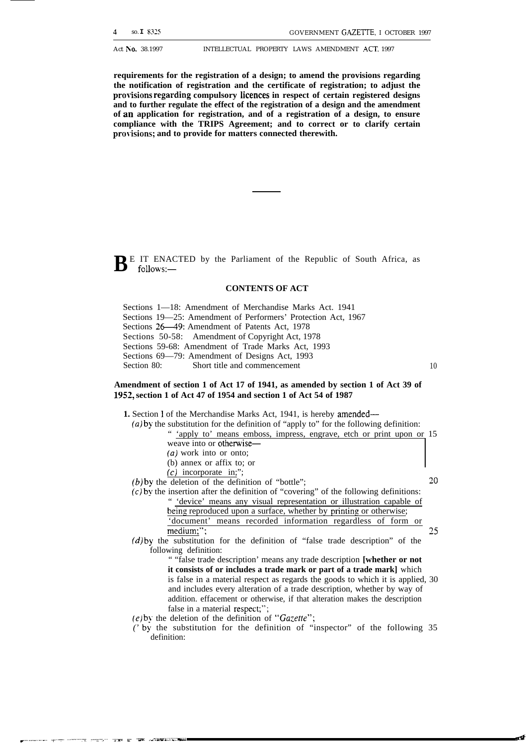Act No. 38.1997 INTELLECTUAL PROPERTY LAWS AMENDMENT ACT. 1997

**requirements for the registration of a design; to amend the provisions regarding the notification of registration and the certificate of registration; to adjust the pro~isions regardhtg compulsory Iicences in respect of certain registered designs and to further regulate the effect of the registration of a design and the amendment of an application for registration, and of a registration of a design, to ensure compliance with the TRIPS Agreement; and to correct or to clarify certain** provisions; and to provide for matters connected therewith.

**B** E IT ENACTED by the Parliament of the Republic of South Africa, as follows: follows:—

# **CONTENTS OF ACT**

Sections 1—18: Amendment of Merchandise Marks Act. 1941 Sections 19—25: Amendment of Performers' Protection Act, 1967 Sections 26—49: Amendment of Patents Act, 1978 Sections 50-58: Amendment of Copyright Act, 1978 Sections 59-68: Amendment of Trade Marks Act, 1993 Sections 69—79: Amendment of Designs Act, 1993 Section 80: Short title and commencement 10

# **Amendment of section 1 of Act 17 of 1941, as amended by section 1 of Act 39 of 19% section 1 of Act 47 of 1954 and section 1 of Act 54 of 1987**

**1.** Section 1 of the Merchandise Marks Act, 1941, is hereby amended—

| (a) by the substitution for the definition of "apply to" for the following definition:  |    |
|-----------------------------------------------------------------------------------------|----|
| " 'apply to' means emboss, impress, engrave, etch or print upon or 15                   |    |
| weave into or otherwise-                                                                |    |
| (a) work into or onto;                                                                  |    |
| (b) annex or affix to; or                                                               |    |
| $(c)$ incorporate in;":                                                                 |    |
| $(b)$ by the deletion of the definition of "bottle";                                    | 20 |
| $(c)$ by the insertion after the definition of "covering" of the following definitions: |    |
| " 'device' means any visual representation or illustration capable of                   |    |
| being reproduced upon a surface, whether by printing or otherwise;                      |    |
| 'document' means recorded information regardless of form or                             |    |

medium;"; 25 (d) by the substitution for the definition of "false trade description" of the following definition:

" "false trade description' means any trade description **[whether or not it consists of or includes a trade mark or part of a trade mark]** which is false in a material respect as regards the goods to which it is applied, 30 and includes every alteration of a trade description, whether by way of addition. effacement or otherwise, if that alteration makes the description false in a material respect;";

(e) by the deletion of the definition of *"Gazefte";*

*('* by the substitution for the definition of "inspector" of the following 35 definition: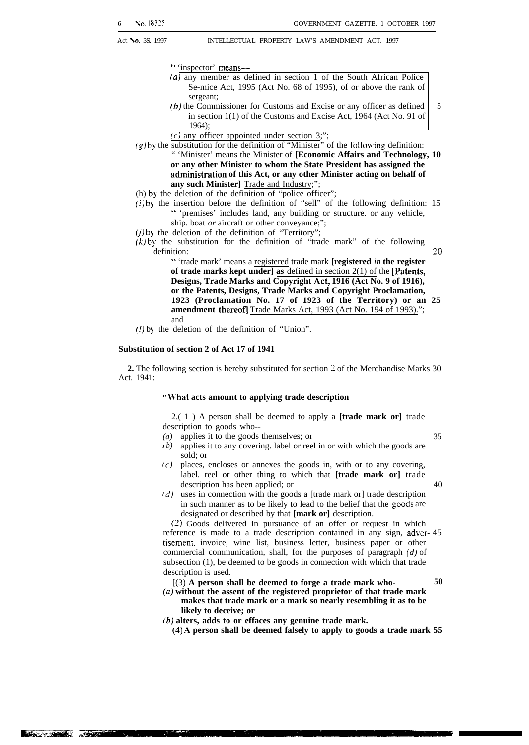"'inspector' means-

- (a) any member as defined in section 1 of the South African Police Se-mice Act, 1995 (Act No. 68 of 1995), of or above the rank of sergeant:
- $(b)$  the Commissioner for Customs and Excise or any officer as defined  $\vert 5 \rangle$ in section 1(1) of the Customs and Excise Act, 1964 (Act No. 91 of 1964);
- $(c)$  any officer appointed under section 3;";
- $(g)$  by the substitution for the definition of "Minister" of the following definition: " 'Minister' means the Minister of **[Economic Affairs and Technology, 10 or anv other Minister to whom the State President has assigned the** administration of this Act, or any other Minister acting on behalf of **any such Minister]** Trade and Industry;";
- (h) by the deletion of the definition of "police officer";
- $(i)$  by the insertion before the definition of "sell" of the following definition: 15 " 'premises' includes land, any building or structure. or any vehicle,
	- ship. boat *or* aircraft or other conveyance;";
- $(i)$  by the deletion of the definition of "Territory";

 $(k)$  by the substitution for the definition of "trade mark" of the following  $definition:$  20

> " 'trade mark' means a registered trade mark **[registered** *in* **the register** of trade marks kept under] as defined in section 2(1) of the [Patents, **Designs, Trade Marks and Copyright ACL 1916 (Act No. 9 of 1916), or the Patents, Designs, Trade Marks and Copyright Proclamation, 1923 (Proclamation No. 17 of 1923 of the Territory) or an 25 amendment thereofj** Trade Marks Act, 1993 (Act No. 194 of 1993)."; and

 $(1)$  by the deletion of the definition of "Union".

#### **Substitution of section 2 of Act 17 of 1941**

sold; or

**Since the Second Second Second Second Second Second Second Second Second Second Second Second Second Second Second Second Second Second Second Second Second Second Second Second Second Second Second Second Second Second S** 

**2.** The following section is hereby substituted for section 2 of the Merchandise Marks 30 Act. 1941:

## **"M'hat acts amount to applying trade description**

2.( 1 ) A person shall be deemed to apply a **[trade mark or]** trade description to goods who--

*(a)* applies it to the goods themselves; or 35

*I b)* applies it to any covering. label or reel in or with which the goods are

- *(c)* places, encloses or annexes the goods in, with or to any covering, label. reel or other thing to which that **[trade mark or]** trade description has been applied; or  $40$
- *Id*) uses in connection with the goods a [trade mark or] trade description in such manner as to be likely to lead to the belief that the goods are designated or described by that **[mark or]** description.

(2) Goods delivered in pursuance of an offer or request in which reference is made to a trade description contained in any sign, adver- 45 tisement. invoice, wine list, business letter, business paper or other commercial communication, shall, for the purposes of paragraph *(d)* of subsection (1), be deemed to be goods in connection with which that trade description is used.

[(3) **A person shall be deemed to forge a trade mark who- 50**

- *(a)* **without the assent of the registered proprietor of that trade mark makes that trade mark or a mark so nearly resembling it as to be likely to deceive; or**
- *(b)* **alters, adds to or effaces any genuine trade mark.**
- **(4) A person shall be deemed falsely to apply to goods a trade mark 55**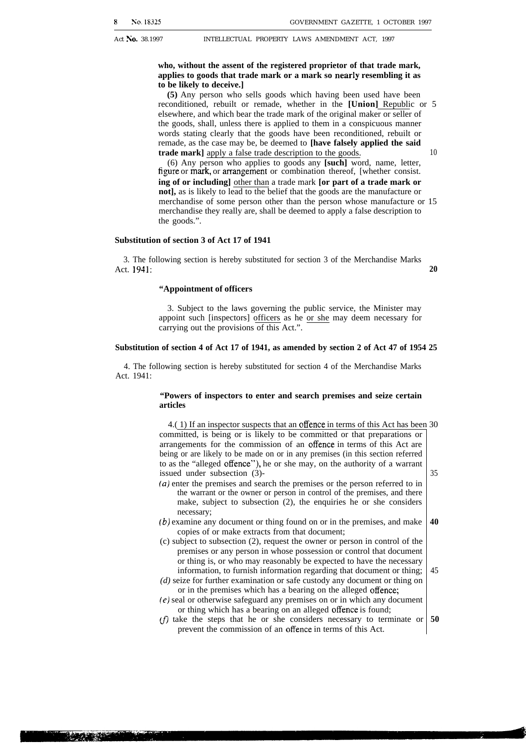**Weight and The Point** 

Act **No.** 38.1997 **INTELLECTUAL PROPERTY LAWS AMENDMENT ACT, 1997** 

# **who, without the assent of the registered proprietor of that trade mark, applies to goods that trade mark or a mark so nearly resembling it as to be likely to deceive.]**

**(5)** Any person who sells goods which having been used have been reconditioned, rebuilt or remade, whether in the **[Union]** Republic or 5 elsewhere, and which bear the trade mark of the original maker or seller of the goods, shall, unless there is applied to them in a conspicuous manner words stating clearly that the goods have been reconditioned, rebuilt or remade, as the case may be, be deemed to **[have falsely applied the said trade mark]** apply a false trade description to the goods. 10

(6) Any person who applies to goods any **[such]** word, name, letter, figure or mark, or arrangement or combination thereof, [whether consist. **ing of or including]** other than a trade mark **[or part of a trade mark or not],** as is likely to lead to the belief that the goods are the manufacture or merchandise of some person other than the person whose manufacture or 15 merchandise they really are, shall be deemed to apply a false description to the goods.".

#### **Substitution of section 3 of Act 17 of 1941**

3. The following section is hereby substituted for section 3 of the Merchandise Marks Act. 1941: **20**

#### **"Appointment of officers**

3. Subject to the laws governing the public service, the Minister may appoint such [inspectors] officers as he or she may deem necessary for carrying out the provisions of this Act.".

#### **Substitution of section 4 of Act 17 of 1941, as amended by section 2 of Act 47 of 1954 25**

4. The following section is hereby substituted for section 4 of the Merchandise Marks Act. 1941:

#### **"Powers of inspectors to enter and search premises and seize certain articles**

4.( 1) If an inspector suspects that an offence in terms of this Act has been 30 committed, is being or is likely to be committed or that preparations or arrangements for the commission of an offence in terms of this Act are being or are likely to be made on or in any premises (in this section referred to as the "alleged offence"), he or she may, on the authority of a warrant issued under subsection (3)- 35

- *(a)* enter the premises and search the premises or the person referred to in the warrant or the owner or person in control of the premises, and there make, subject to subsection (2), the enquiries he or she considers necessary;
- *[b)* examine any document or thing found on or in the premises, and make **40** copies of or make extracts from that document;
- (c) subject to subsection (2), request the owner or person in control of the premises or any person in whose possession or control that document or thing is, or who may reasonably be expected to have the necessary information, to furnish information regarding that document or thing;  $\vert$  45
- *(d)* seize for further examination or safe custody any document or thing on or in the premises which has a bearing on the alleged offence;
- (e) seal or otherwise safeguard any premises on or in which any document or thing which has a bearing on an alleged offence is found;
- (f) take the steps that he or she considers necessary to terminate or  $\vert 50 \rangle$ prevent the commission of an offence in terms of this Act.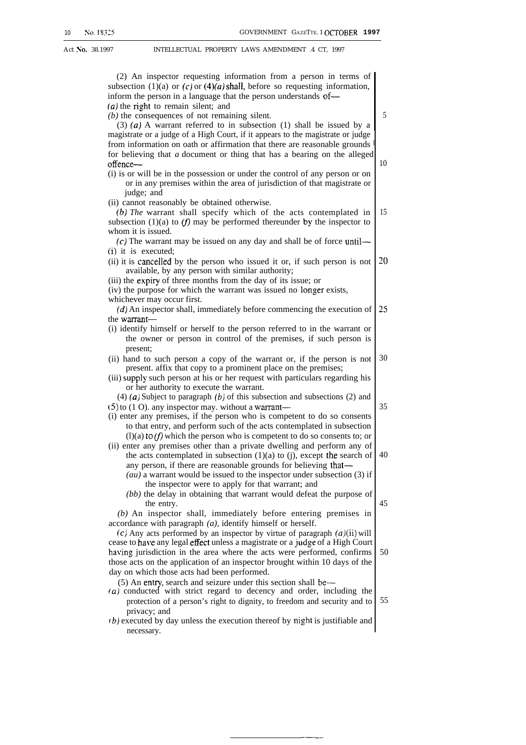Act No. 38.1997 INTELLECTUAL PROPERTY LAWS AMENDMENT .4 CT, 1997

| (2) An inspector requesting information from a person in terms of<br>subsection (1)(a) or $(c)$ or $(4)(a)$ shall, before so requesting information,<br>inform the person in a language that the person understands of—     |    |
|-----------------------------------------------------------------------------------------------------------------------------------------------------------------------------------------------------------------------------|----|
| $(a)$ the right to remain silent; and                                                                                                                                                                                       |    |
| $(b)$ the consequences of not remaining silent.                                                                                                                                                                             | 5  |
| $(3)$ (a) A warrant referred to in subsection (1) shall be issued by a                                                                                                                                                      |    |
| magistrate or a judge of a High Court, if it appears to the magistrate or judge<br>from information on oath or affirmation that there are reasonable grounds                                                                |    |
| for believing that $a$ document or thing that has a bearing on the alleged                                                                                                                                                  |    |
| offence-                                                                                                                                                                                                                    | 10 |
| (i) is or will be in the possession or under the control of any person or on<br>or in any premises within the area of jurisdiction of that magistrate or<br>judge; and                                                      |    |
| (ii) cannot reasonably be obtained otherwise.                                                                                                                                                                               |    |
| (b) The warrant shall specify which of the acts contemplated in                                                                                                                                                             | 15 |
| subsection (1)(a) to $(f)$ may be performed thereunder by the inspector to                                                                                                                                                  |    |
| whom it is issued.                                                                                                                                                                                                          |    |
| $(c)$ The warrant may be issued on any day and shall be of force until—<br>$(i)$ it is executed;                                                                                                                            |    |
| (ii) it is cancelled by the person who issued it or, if such person is not<br>available, by any person with similar authority;                                                                                              | 20 |
| (iii) the expiry of three months from the day of its issue; or                                                                                                                                                              |    |
| (iv) the purpose for which the warrant was issued no longer exists,                                                                                                                                                         |    |
| whichever may occur first.                                                                                                                                                                                                  |    |
| $(d)$ An inspector shall, immediately before commencing the execution of                                                                                                                                                    | 25 |
| the warrant-                                                                                                                                                                                                                |    |
| (i) identify himself or herself to the person referred to in the warrant or                                                                                                                                                 |    |
| the owner or person in control of the premises, if such person is<br>present;                                                                                                                                               |    |
| (ii) hand to such person a copy of the warrant or, if the person is not                                                                                                                                                     | 30 |
| present. affix that copy to a prominent place on the premises;                                                                                                                                                              |    |
| (iii) supply such person at his or her request with particulars regarding his                                                                                                                                               |    |
| or her authority to execute the warrant.                                                                                                                                                                                    |    |
| $(4)$ (a) Subject to paragraph (b) of this subsection and subsections (2) and                                                                                                                                               | 35 |
| $(5)$ to $(1 O)$ . any inspector may. without a warrant—<br>(i) enter any premises, if the person who is competent to do so consents                                                                                        |    |
| to that entry, and perform such of the acts contemplated in subsection                                                                                                                                                      |    |
| $(1)(a)$ to $(f)$ which the person who is competent to do so consents to; or                                                                                                                                                |    |
| (ii) enter any premises other than a private dwelling and perform any of<br>the acts contemplated in subsection $(1)(a)$ to $(j)$ , except the search of<br>any person, if there are reasonable grounds for believing that— | 40 |
| $(au)$ a warrant would be issued to the inspector under subsection (3) if<br>the inspector were to apply for that warrant; and                                                                                              |    |
| (bb) the delay in obtaining that warrant would defeat the purpose of                                                                                                                                                        |    |
| the entry.                                                                                                                                                                                                                  | 45 |
| $(b)$ An inspector shall, immediately before entering premises in                                                                                                                                                           |    |
| accordance with paragraph $(a)$ , identify himself or herself.                                                                                                                                                              |    |
| (c) Any acts performed by an inspector by virtue of paragraph $(a)(ii)$ will                                                                                                                                                |    |
| cease to have any legal effect unless a magistrate or a judge of a High Court<br>having jurisdiction in the area where the acts were performed, confirms                                                                    | 50 |
| those acts on the application of an inspector brought within 10 days of the                                                                                                                                                 |    |
| day on which those acts had been performed.                                                                                                                                                                                 |    |
| (5) An entry, search and seizure under this section shall be—                                                                                                                                                               |    |
| (a) conducted with strict regard to decency and order, including the                                                                                                                                                        |    |
| protection of a person's right to dignity, to freedom and security and to                                                                                                                                                   | 55 |
| privacy; and<br>$(b)$ executed by day unless the execution thereof by night is justifiable and                                                                                                                              |    |
| necessary.                                                                                                                                                                                                                  |    |
|                                                                                                                                                                                                                             |    |

.—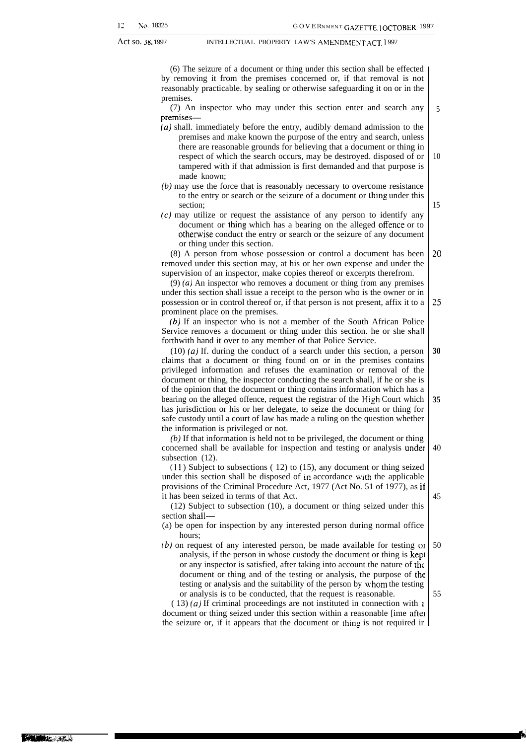# Act so. 38. 1997 **INTELLECTUAL PROPERTY LAW'S AMENDMENT ACT, 1997**

(6) The seizure of a document or thing under this section shall be effected by removing it from the premises concerned or, if that removal is not reasonably practicable. by sealing or otherwise safeguarding it on or in the premises.

(7) An inspector who may under this section enter and search any premises— 5

- (a) shall. immediately before the entry, audibly demand admission to the premises and make known the purpose of the entry and search, unless there are reasonable grounds for believing that a document or thing in respect of which the search occurs, may be destroyed. disposed of or tampered with if that admission is first demanded and that purpose is made known;
- *(b)* may use the force that is reasonably necessary to overcome resistance to the entry or search or the seizure of a document or thing under this section;
- (c) may utilize or request the assistance of any person to identify any document or thing which has a bearing on the alleged offence or to othemise conduct the entry or search or the seizure of any document or thing under this section.

(8) A person from whose possession or control a document has been removed under this section may, at his or her own expense and under the supervision of an inspector, make copies thereof or excerpts therefrom. Z()

 $(9)$  (a) An inspector who removes a document or thing from any premises under this section shall issue a receipt to the person who is the owner or in possession or in control thereof or, if that person is not present, affix it to a prominent place on the premises. -75

*(b)* If an inspector who is not a member of the South African Police Service removes a document or thing under this section. he or she shall forthwith hand it over to any member of that Police Service.

 $(10)$  (a) If. during the conduct of a search under this section, a person claims that a document or thing found on or in the premises contains privileged information and refuses the examination or removal of the document or thing, the inspector conducting the search shall, if he or she is of the opinion that the document or thing contains information which has a bearing on the alleged offence, request the registrar of the High Court which has jurisdiction or his or her delegate, to seize the document or thing for safe custody until a court of law has made a ruling on the question whether the information is privileged or not. **30 35**

*(b)* If that information is held not to be privileged, the document or thing concerned shall be available for inspection and testing or analysis under subsection  $(12)$ . 40

(11 ) Subject to subsections ( 12) to (15), any document or thing seized under this section shall be disposed of in accordance with the applicable provisions of the Criminal Procedure Act, 1977 (Act No. 51 of 1977), as if it has been seized in terms of that Act.

(12) Subject to subsection (10), a document or thing seized under this section shall—

(a) be open for inspection by any interested person during normal office hours;

 $(b)$  on request of any interested person, be made available for testing or analysis, if the person in whose custody the document or thing is kept or any inspector is satisfied, after taking into account the nature of the document or thing and of the testing or analysis, the purpose of the testing or analysis and the suitability of the person by whom the testing or analysis is to be conducted, that the request is reasonable. 50

 $(13)$  *(a)* If criminal proceedings are not instituted in connection with z document or thing seized under this section within a reasonable [ime aftel the seizure or, if it appears that the document or thing is not required ir

55

45

10

15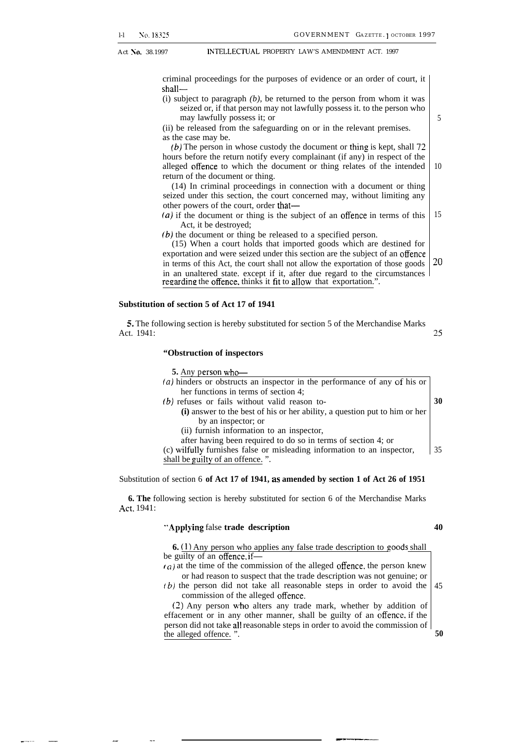Act No. 38.1997 **1NTELLECTUAL PROPERTY LAW'S AMENDMENT ACT. 1997** 

criminal proceedings for the purposes of evidence or an order of court, it shall—

- (i) subject to paragraph *(b),* be returned to the person from whom it was seized or, if that person may not lawfully possess it. to the person who may lawfully possess it; or
- (ii) be released from the safeguarding on or in the relevant premises. as the case may be.

*(b)* The person in whose custody the document or thing is kept, shall 72 hours before the return notify every complainant (if any) in respect of the alleged offence to which the document or thing relates of the intended return of the document or thing. 10

(14) In criminal proceedings in connection with a document or thing seized under this section, the court concerned may, without limiting any other powers of the court, order that—

 $(a)$  if the document or thing is the subject of an offence in terms of this Act, it be destroyed; 15

*(b)* the document or thing be released to a specified person.

(15) When a court holds that imported goods which are destined for

exportation and were seized under this section are the subject of an offence in terms of this Act, the court shall not allow the exportation of those goods in an unaltered state. except if it, after due regard to the circumstances regarding the offence, thinks it fit to allow that exportation. Z()

# **Substitution of section 5 of Act 17 of 1941**

5. The following section is hereby substituted for section 5 of the Merchandise Marks Act. 1941: 25

#### **"Obstruction of inspectors**

**5.** Any person who- (a) hinders or obstructs an inspector in the performance of any of his or her functions in terms of section 4; *(b)* refuses or fails without valid reason to- **30 (i)** answer to the best of his or her ability, a question put to him or her by an inspector; or (ii) furnish information to an inspector, after having been required to do so in terms of section 4; or (c) wilfully furnishes false or misleading information to an inspector, 35 shall be guilty of an offence. ".

#### Substitution of section 6 **of Act 17 of 1941, as amended by section 1 of Act 26 of 1951**

**6. The** following section is hereby substituted for section 6 of the Merchandise Marks .Act. 1941:

# ".4pplying false **trade description**

-—.—— .—— .— -. ——.—

**6. (1)** Any person who applies any false trade description to goods shall be guilty of an offence. if—

- $(a)$  at the time of the commission of the alleged offence, the person knew or had reason to suspect that the trade description was not genuine; or
- $f(b)$  the person did not take all reasonable steps in order to avoid the  $\vert 45 \rangle$ commission of the alleged offence.

(2) Any person who alters any trade mark, whether by addition of effacement or in any other manner, shall be guilty of an offence. if the person did not take all reasonable steps in order to avoid the commission of the alleged offence. ". 50

**40**

5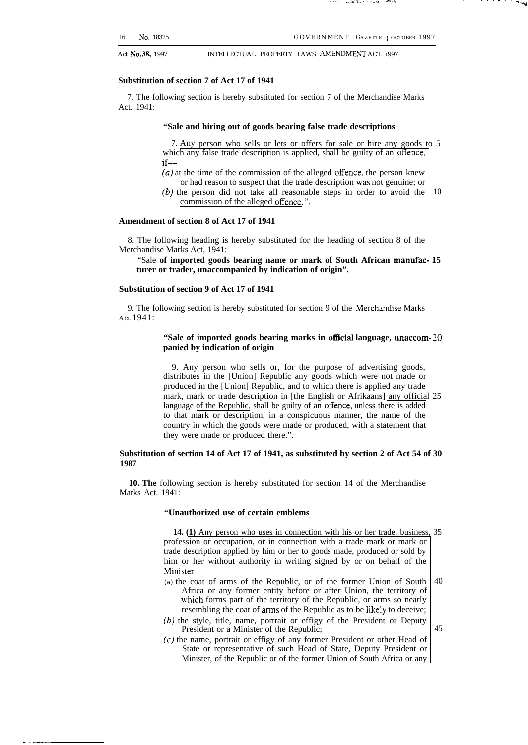Act **No.38, 1997 INTELLECTUAL PROPERTY LAWS AMENDMENT ACT. 1997** 

# **Substitution of section 7 of Act 17 of 1941**

7. The following section is hereby substituted for section 7 of the Merchandise Marks Act. 1941:

#### **"Sale and hiring out of goods bearing false trade descriptions**

7. Any person who sells or lets or offers for sale or hire any goods to 5 which any false trade description is applied, shall be guilty of an offence, if—

..= ...-.J Z... . .. ~. . . -,, ,

. . . . ., . . ~-, \*

- (a) at the time of the commission of the alleged offence. the person knew or had reason to suspect that the trade description was not genuine; or
- (b) the person did not take all reasonable steps in order to avoid the  $\vert$  10 commission of the alleged offence. ".

# **Amendment of section 8 of Act 17 of 1941**

8. The following heading is hereby substituted for the heading of section 8 of the Merchandise Marks Act, 1941:

"Sale **of imported goods bearing name or mark of South African manufac- 15 turer or trader, unaccompanied by indication of origin".**

#### **Substitution of section 9 of Act 17 of 1941**

9. The following section is hereby substituted for section 9 of the Merchandise Marks  $A_{CL}$  1941:

# "Sale of imported goods bearing marks in official language, unaccom-20 **panied by indication of origin**

9. Any person who sells or, for the purpose of advertising goods, distributes in the [Union] Republic any goods which were not made or produced in the [Union] Republic, and to which there is applied any trade mark, mark or trade description in [the English or Afrikaans] any official 25 language of the Republic, shall be guilty of an offence, unless there is added to that mark or description, in a conspicuous manner, the name of the country in which the goods were made or produced, with a statement that they were made or produced there.".

### **Substitution of section 14 of Act 17 of 1941, as substituted by section 2 of Act 54 of 30 1987**

**10. The** following section is hereby substituted for section 14 of the Merchandise Marks Act. 1941:

#### **"Unauthorized use of certain emblems**

.—

**14. (1)** Any person who uses in connection with his or her trade, business, 35 profession or occupation, or in connection with a trade mark or mark or trade description applied by him or her to goods made, produced or sold by him or her without authority in writing signed by or on behalf of the .Minister—

- (a) the coat of arms of the Republic, or of the former Union of South  $\vert 40 \vert$ Africa or any former entity before or after Union, the territory of which forms part of the territory of the Republic, or arms so nearly resembling the coat of arms of the Republic as to be likely to deceive;
- (b) the style, title, name, portrait or effigy of the President or Deputy President or a Minister of the Republic; 45
- (c) the name, portrait or effigy of any former President or other Head of State or representative of such Head of State, Deputy President or Minister, of the Republic or of the former Union of South Africa or any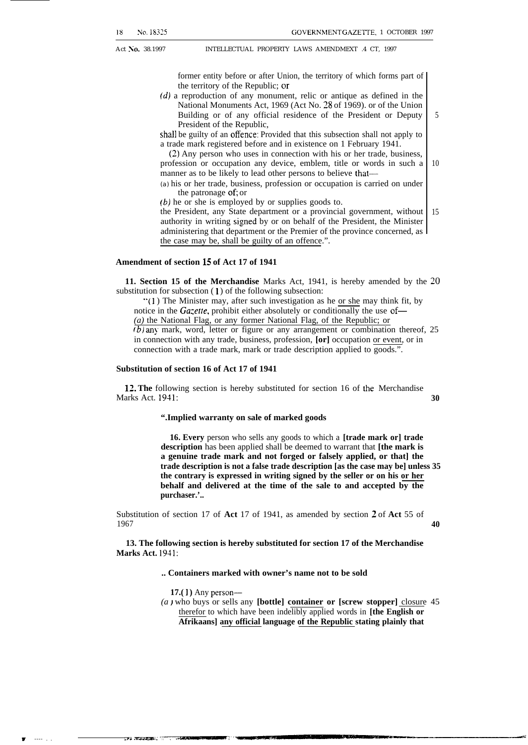Act No. 38.1997 **INTELLECTUAL PROPERTY LAWS AMENDMEXT .4 CT, 1997** 

former entity before or after Union, the territory of which forms part of the territory of the Republic; or

 $(d)$  a reproduction of any monument, relic or antique as defined in the National Monuments Act, 1969 (Act No. 28 of 1969). or of the Union Building or of any official residence of the President or Deputy President of the Republic,

shall be guilty of an offence: Provided that this subsection shall not apply to a trade mark registered before and in existence on 1 February 1941.

(2) Any person who uses in connection with his or her trade, business,

profession or occupation any device, emblem, title or words in such a manner as to be likely to lead other persons to believe that— 10

*(a)* his or her trade, business, profession or occupation is carried on under the patronage of; or

*(b)* he or she is employed by or supplies goods to.

the President, any State department or a provincial government, without authority in writing signed by or on behalf of the President, the Minister administering that department or the Premier of the province concerned, as the case may be, shall be guilty of an offence.". 15

#### **Amendment of section 15 of Act 17 of 1941**

**11. Section 15 of the Merchandise** Marks Act, 1941, is hereby amended by the 20 substitution for subsection (1) of the following subsection:

"(1 ) The Minister may, after such investigation as he or she may think fit, by notice in the *Gazette*, prohibit either absolutely or conditionally the use of-*(a)* the National Flag, or any former National Flag, of the Republic; or *fb) any* mark, word, letter or figure or any arrangement or combination thereof, 25 in connection with any trade, business, profession, **[or]** occupation or event, or in connection with a trade mark, mark or trade description applied to goods.".

#### **Substitution of section 16 of Act 17 of 1941**

**12. The** following section is hereby substituted for section 16 of the Merchandise Marks Act. 1941: **30**

**".Implied warranty on sale of marked goods**

**16. Every** person who sells any goods to which a **[trade mark or] trade description** has been applied shall be deemed to warrant that **[the mark is a genuine trade mark and not forged or falsely applied, or that] the trade description is not a false trade description [as the case may be] unless 35 the contrary is expressed in writing signed by the seller or on his or her behalf and delivered at the time of the sale to and accepted by the purchaser.'..**

Substitution of section 17 of **Act** 17 of 1941, as amended by section 2 of **Act** 55 of 1967 **40**

5

**13. The following section is hereby substituted for section 17 of the Merchandise Marks Act. 1941:**

#### **.. Containers marked with owner's name not to be sold**

**17.(1)** Any person—

-.

<sup>r</sup> ..5 .—< -~

---- . . ,.

*(a ~* who buys or sells any **[bottle] container or [screw stopper]** closure 45 therefor to which have been indelibly applied words in **[the English or Afrikaans] any official language of the Republic stating plainly that**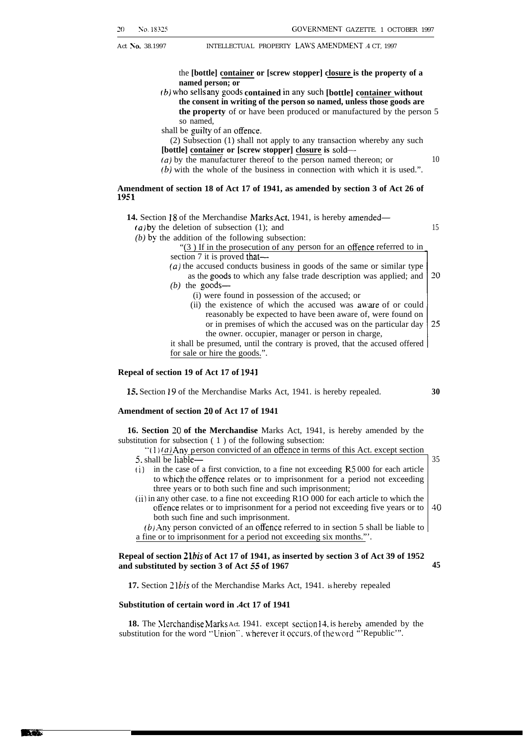20 *so.* 1s325 GO~'ERNMENT GAZETTE. 1 OCTOBER 1997

Act No. 38.1997 INTELLECTUAL PROPERTY LAW'S AMENDMENT .4 CT, 1997

the **[bottle] container or [screw stopper] closure is the property of a named person; or**

**(b) whosells anygoods contained inanysuch [bottle] container without the consent in writing of the person so named, unless those goods are the property** of or have been produced or manufactured by the person 5 so named,

shall be guilty of an offence.

(2) Subsection (1) shall not apply to any transaction whereby any such **[bottle] container or [screw stopper] closure is sold—**

*(a)* by the manufacturer thereof to the person named thereon; or 10

(b) with the whole of the business in connection with which it is used.".

# **Amendment of section 18 of Act 17 of 1941, as amended by section 3 of Act 26 of 1951**

14. Section 18 of the Merchandise Marks Act, 1941, is hereby amended—

 $(a)$  by the deletion of subsection (1); and

*(b)* by the addition of the following subsection:

"(3 ) If in the prosecution of any person for an offence referred to in section 7 it is proved that—

- $(a)$  the accused conducts business in goods of the same or similar type 20
- as the goods to which any false trade description was applied; and *(b)* the goods—
	- (i) were found in possession of the accused; or
	- (ii) the existence of which the accused was au'are of or could reasonably be expected to have been aware of, were found on or in premises of which the accused was on the particular day  $\left| 25 \right|$ the owner. occupier, manager or person in charge,

it shall be presumed, until the contrary is proved, that the accused offered | for sale or hire the goods.".

# **Repeal of section 19 of Act 17 of 1941**

**15.** Section 19 of the Merchandise Marks Act, 1941. is hereby repealed. **30**

15

# **Amendment of section 20 of Act 17 of 1941**

**16. Section 20 of the Merchandise** Marks Act, 1941, is hereby amended by the substitution for subsection (1) of the following subsection:

 $\lceil (1)/a \rceil$  Any person convicted of an offence in terms of this Act. except section 5. shall be liable— 35

**Andr** 

- $(i)$  in the case of a first conviction, to a fine not exceeding R5 000 for each article to vhich the *offence* relates or to imprisonment for a period not exceeding three years or to both such fine and such imprisonment;
- (ii) in any other case. to a fine not exceeding R1O 000 for each article to which the offence relates or to imprisonment for a period not exceeding five years or to **40** both such fine and such imprisonment.
- *(b) .Iny* person convicted of an offence referred to in section 5 shall be liable to a fine or to imprisonment for a period not exceeding six months."'.

# **Repeal of section 21bis of Act 17 of 1941, as inserted by section 3 of Act 39 of 1952 and substituted by section 3 of Act 55 of 1967 45**

**17.** Section 21 *bis* of the Merchandise Marks Act, 1941. is hereby repealed

# **Substitution of certain word in .4ct 17 of 1941**

18. The Merchandise Marks Act. 1941. except section 14, is hereby amended by the substitution for the word "Union", wherever it occurs, of the word "Republic".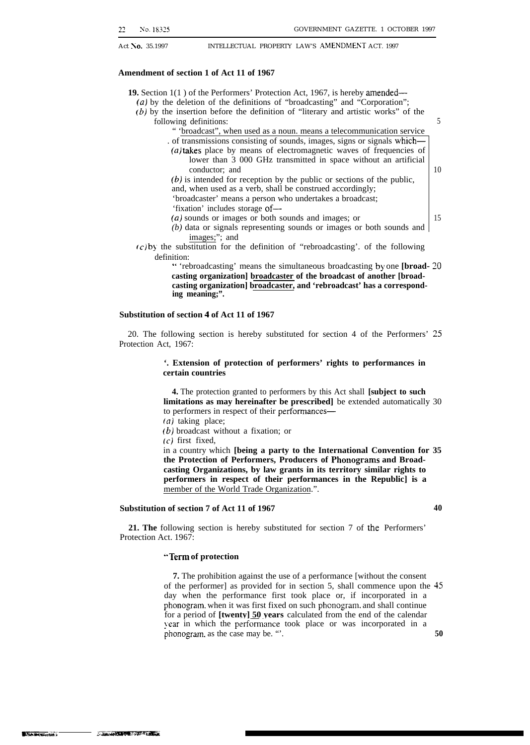Act **No. 35.1997 INTELLECTUAL PROPERTY LAW'S AMENDMENT ACT. 1997** 

# **Amendment of section 1 of Act 11 of 1967**

**19.** Section 1(1) of the Performers' Protection Act, 1967, is hereby amended— *(a)* by the deletion of the definitions of "broadcasting" and "Corporation";

- (b) by the insertion before the definition of "literary and artistic works" of the following definitions: 5
	- " 'broadcast", when used as a noun. means a telecommunication service
	- . of transmissions consisting of sounds, images, signs or signals which—
	- (a) takes place by means of electromagnetic waves of frequencies of lower than 3 000 GHz transmitted in space without an artificial conductor; and 10

(b) is intended for reception by the public or sections of the public, and, when used as a verb, shall be construed accordingly;

- 'broadcaster' means a person who undertakes a broadcast;
- 'fixation' includes storage of—
- (*a*) sounds or images or both sounds and images; or 15

*(b)* data or signals representing sounds or images or both sounds and images;"; and

 $(c)$  by the substitution for the definition of "rebroadcasting'. of the following definition:

> " 'rebroadcasting' means the simultaneous broadcasting by one **[broad- 20 casting organization] broadcaster of the broadcast of another [broadcasting organization] broadcaster, and 'rebroadcast' has a corresponding meaning;".**

#### **Substitution of section 4 of Act 11 of 1967**

20. The following section is hereby substituted for section 4 of the Performers' 25 Protection Act, 1967:

# **'. Extension of protection of performers' rights to performances in certain countries**

**4.** The protection granted to performers by this Act shall **[subject to such limitations as may hereinafter be prescribed]** be extended automatically 30 to performers in respect of their performances—

(a) taking place;

*{b)* broadcast without a fixation; or

(c) first fixed,

in a country which **[being a party to the International Convention for 35 the Protection of Performers, Producers of Phonograms and Broadcasting Organizations, by law grants in its territory similar rights to performers in respect of their performances in the Republic] is a** member of the World Trade Organization.".

#### **Substitution of section 7 of Act 11 of 1967**

**40**

**21. The** following section is hereby substituted for section 7 of the Performers' Protection Act. 1967:

# **."Term of protection**

**7.** The prohibition against the use of a performance [without the consent of the performer] as provided for in section 5, shall commence upon the 45 day when the performance first took place or, if incorporated in a phonogram. when it was first fixed on such phonogram. and shall continue for a period of **[twenty] 50 years** calculated from the end of the calendar year in which the performance took place or was incorporated in a phonogram. as the case may be. "'. **50**

**Reduction Contract Contract of the Contract of Contract of Contract of Contract of Contract of Contract of Contract of Contract of Contract of Contract of Contract of Contract of Contract of Contract of Contract of Contra**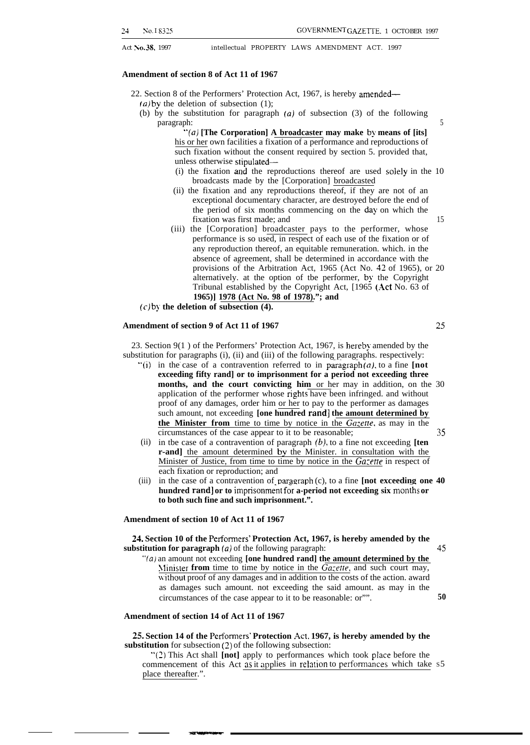# **Amendment of section 8 of Act 11 of 1967**

- 22. Section 8 of the Performers' Protection Act, 1967, is hereby amended—  $(a)$  by the deletion of subsection (1);
	- (b) by the substitution for paragraph *(a)* of subsection (3) of the following paragraph: 5

*"(a)* **[The Corporation] A broadcaster may make by means of [its]** his or her own facilities a fixation of a performance and reproductions of such fixation without the consent required by section 5. provided that, unless otherwise stipulated—

- (i) the fixation and the reproductions thereof are used solely in the 10 broadcasts made by the [Corporation] broadcasted
- (ii) the fixation and any reproductions thereof, if they are not of an exceptional documentary character, are destroyed before the end of the period of six months commencing on the day on which the fixation was first made; and 15
- (iii) the [Corporation] broadcaster pays to the performer, whose performance is so used, in respect of each use of the fixation or of any reproduction thereof, an equitable remuneration. which. in the absence of agreement, shall be determined in accordance with the provisions of the Arbitration Act, 1965 (Act No. 42 of 1965), or 20 alternatively. at the option of tbe performer, by the Copyright Tribunal established by the Copyright Act, [1965 (Act No. 63 of **1965)] 1978 (Act No. 98 of 1978)."; and**

**(c) by the deletion of subsection (4).**

# **Amendment of section 9 of Act 11 of 1967 25**

23. Section 9(1 ) of the Performers' Protection Act, 1967, is hereby amended by the substitution for paragraphs (i), (ii) and (iii) of the following paragraphs. respectively:

- $''(i)$  in the case of a contravention referred to in paragraph  $(a)$ , to a fine [not **exceeding fifty rand] or to imprisonment for a period not exceeding three months, and the court convicting him** or her may in addition, on the 30 application of the performer whose rights have been infringed. and without proof of any damages, order him or her to pay to the performer as damages such amount, not exceeding **[one hundred rand] the amount determined by** the Minister from time to time by notice in the Gazette, as may in the circumstances of the case appear to it to be reasonable; 35
- (ii) in tbe case of a contravention of paragraph (b), to a fine not exceeding **[ten r-and]** the amount determined by the Minister. in consultation with the Minister of Justice, from time to time by notice in the *Ga:erre* in respect of each fixation or reproduction; and
- (iii) in the case of a contravention of parasraph (c), to a fine **[not exceeding one 40 hundred rand] or to imprisonment for a-period not exceeding six months or to both such fine and such imprisonment.".**

#### **Amendment of section 10 of Act 11 of 1967**

**24. Section 10 of the Performers' Protection Act, 1967, is hereby amended by the substitution for paragraph** *(a)* of the following paragraph: 45

 $''(a)$  an amount not exceeding **[one hundred rand] the amount determined by the Minister from** time to time by notice in the Gazette, and such court may, without proof of any damages and in addition to the costs of the action. award as damages such amount. not exceeding the said amount. as may in the circumstances of the case appear to it to be reasonable: or"". **50**

### **Amendment of section 14 of Act 11 of 1967**

**25. Section 14 of the Performers' Protection Act, 1967, is hereby amended by the substitution** for subsection (2) of the following subsection:

"(2) This Act shall **[not]** apply to performances which took place before the commencement of this Act as it applies in relation to performances which take s5 place thereafter.".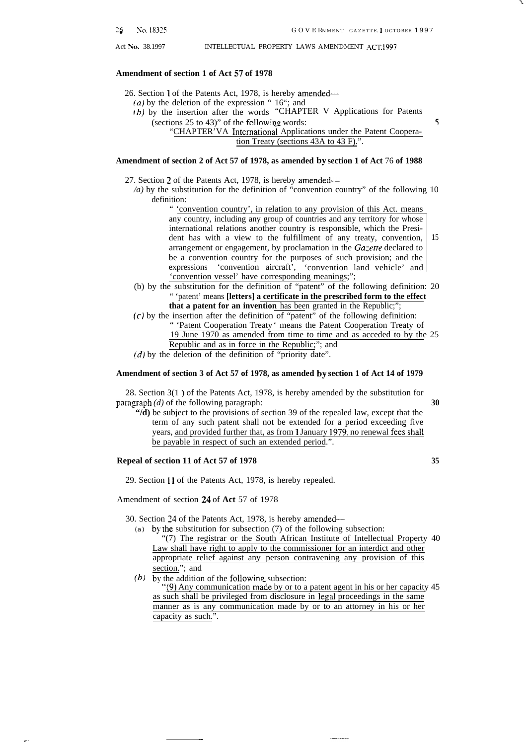Act No. 38.1997 INTELLECTUAL PROPERTY LAWS AMENDMENT ACT.1997

#### **Amendment of section 1 of Act 57 of 1978**

26. Section 1 of the Patents Act, 1978, is hereby amended—

(a) by the deletion of the expression "16"; and

 $(b)$  by the insertion after the words "CHAPTER V Applications for Patents (sections 25 to 43)" of the following words:  $5$ 

"CHAPTER'VA International Applications under the Patent Cooperation Treaty (sections 43A to 43 F).".

# **Amendment of section 2 of Act 57 of 1978, as amended by section 1 of Act** 76 **of 1988**

27. Section 2 of the Patents Act, 1978, is hereby amended—

*/a)* by the substitution for the definition of "convention country" of the following 10 definition:

> " 'convention country', in relation to any provision of this Act. means any country, including any group of countries and any territory for whose international relations another country is responsible, which the President has with a view to the fulfillment of any treaty, convention, 15 arrangement or engagement, by proclamation in the *Gazette* declared to be a convention country for the purposes of such provision; and the expressions 'convention aircraft', 'convention land vehicle' and 'convention vessel' have corresponding meanings;";

(b) by the substitution for the definition of "patent" of the following definition: 20 " 'patent' means **[letters] a certificate in the prescribed form to the effect that a patent for an invention** has been granted in the Republic;";

 $(c)$  by the insertion after the definition of "patent" of the following definition: " 'Patent Cooperation Treaty ' means the Patent Cooperation Treaty of 19 June 1970 as amended from time to time and as acceded to by the 25 Republic and as in force in the Republic;"; and

(d) by the deletion of the definition of "priority date".

#### **Amendment of section 3 of Act 57 of 1978, as amended by section 1 of Act 14 of 1979**

28. Section 3(1 ) of the Patents Act, 1978, is hereby amended by the substitution for  $\frac{1}{2}$  paragraph *(d)* of the following paragraph: **30** 

**"/d)** be subject to the provisions of section 39 of the repealed law, except that the term of any such patent shall not be extended for a period exceeding five years, and provided further that, as from 1 January 1979, no renewal fees shall be payable in respect of such an extended period.".

# **Repeal of section 11 of Act 57 of 1978 35**

-. —

29. Section 11 of the Patents Act, 1978, is hereby repealed.

Amendment of section 24 of **Act** 57 of 1978

30. Section 24 of the Patents Act, 1978, is hereby amended—

*(a)* by the substitution for subsection (7) of the following subsection: "(7) The registrar or the South African Institute of Intellectual Property 40 Law shall have right to apply to the commissioner for an interdict and other appropriate relief against any person contravening any provision of this section."; and

 $(b)$  by the addition of the following subsection:

 $(9)$  Any communication made by or to a patent agent in his or her capacity 45 as such shall be privileged from disclosure in legal proceedings in the same manner as is any communication made by or to an attorney in his or her capacity as such.".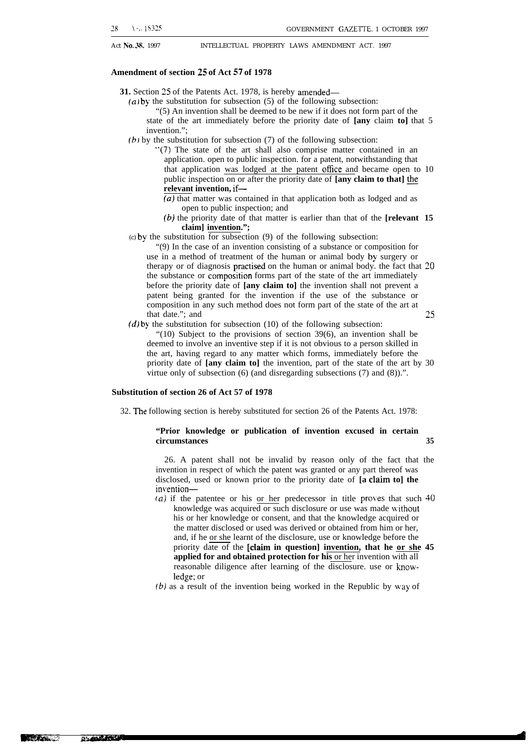28 \cdots, 18325 GOVERNMENT GAZETTE, 1 OCTOBER 1997

# **Amendment of section 25 of Act 57 of 1978**

**31.** Section **25** of the Patents Act. 1978, is hereby amended—

(a) by the substitution for subsection (5) of the following subsection: "(5) An invention shall be deemed to be new if it does not form part of the

state of the art immediately before the priority date of **[any** claim **to]** that 5 invention.";

- (b) by the substitution for subsection (7) of the following subsection:
	- "(7) The state of the art shall also comprise matter contained in an application. open to public inspection. for a patent, notwithstanding that that application was lodged at the patent office and became open to 10 public inspection on or after the priority date of **[any claim to that]** the **relevant invention, if—**
		- *(a)* that matter was contained in that application both as lodged and as open to public inspection; and
		- (b) the priority date of that matter is earlier than that of the **[relevant 15 claim] invention.";**
- (c) by the substitution for subsection (9) of the following subsection:

"(9) In the case of an invention consisting of a substance or composition for use in a method of treatment of the human or animal body by surgery or therapy or of diagnosis practised on the human or animal body. the fact that 20 the substance or composition forms part of the state of the art immediately before the priority date of **[any claim to]** the invention shall not prevent a patent being granted for the invention if the use of the substance or composition in any such method does not form part of the state of the art at that date."; and 25

 $(d)$  by the substitution for subsection (10) of the following subsection: "(10) Subject to the provisions of section 39(6), an invention shall be deemed to involve an inventive step if it is not obvious to a person skilled in the art, having regard to any matter which forms, immediately before the priority date of **[any claim to]** the invention, part of the state of the art by 30 virtue only of subsection (6) (and disregarding subsections (7) and (8)).".

#### **Substitution of section 26 of Act 57 of 1978**

32. The following section is hereby substituted for section 26 of the Patents Act. 1978:

#### **"Prior knowledge or publication of invention excused in certain circumstances 35**

26. A patent shall not be invalid by reason only of the fact that the invention in respect of which the patent was granted or any part thereof was disclosed, used or known prior to the priority date of **[a claim to] the** invention—

- $(a)$  if the patentee or his or her predecessor in title proves that such 40 knowledge was acquired or such disclosure or use was made \vithout his or her knowledge or consent, and that the knowledge acquired or the matter disclosed or used was derived or obtained from him or her, and, if he or she learnt of the disclosure, use or knowledge before the priority date of the **[claim in question] invention, that he or she 45 applied for and obtained protection for his** or her invention with all reasonable diligence after learning of the disclosure. use or knowledge; or
- $(b)$  as a result of the invention being worked in the Republic by way of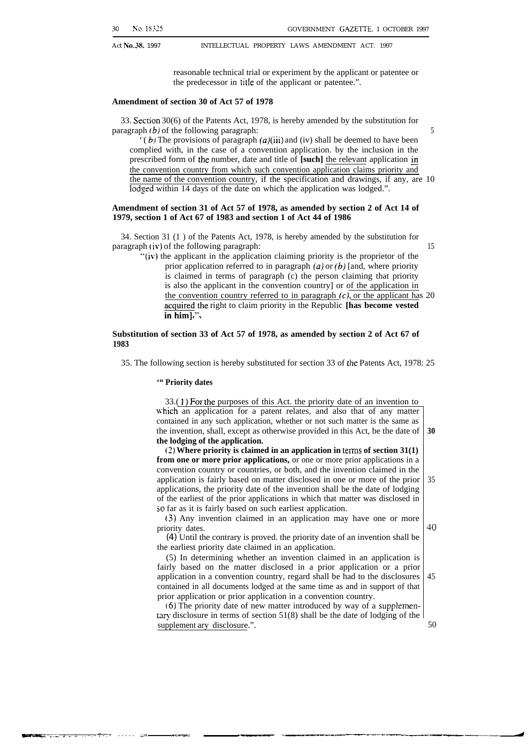Act No. 3% *1997* INTELLECTUAL PROPERTY LAWS AMENDMENT ACT. 1997

reasonable technical trial or experiment by the applicant or patentee or the predecessor in title of the applicant or patentee.".

#### **Amendment of section 30 of Act 57 of 1978**

33. %crion 30(6) of the Patents Act, 1978, is hereby amended by the substitution for paragraph  $(b)$  of the following paragraph:  $5$ 

 $\hat{b}$  (b) The provisions of paragraph (a)(iii) and (iv) shall be deemed to have been complied with, in the case of a convention application. by the inclusion in the prescribed form of the number, date and title of [such] the relevant application in the convention country from which such convention application claims priority and the name of the convention country, if the specification and drawings, if any, are 10 lodged within 14 days of the date on which the application was lodged.".

### **Amendment of section 31 of Act 57 of 1978, as amended by section 2 of Act 14 of 1979, section 1 of Act 67 of 1983 and section 1 of Act 44 of 1986**

34. Section 31 (1 ) of the Patents Act, 1978, is hereby amended by the substitution for paragraph (iv) of the following paragraph: 15

"(iv) the applicant in the application claiming priority is the proprietor of the prior application referred to in paragraph  $(a)$  or  $(b)$  [and, where priority is claimed in terms of paragraph (c) the person claiming that priority is also the applicant in the convention country] or of the application in the convention country referred to in paragraph  $(c)$ , or the applicant has 20 acquired the right to claim priority in the Republic [has become vested in him],".

### **Substitution of section 33 of Act 57 of 1978, as amended by section 2 of Act 67 of 1983**

35. The following section is hereby substituted for section 33 of the Patents Act, 1978: 25

#### **'" Priority dates**

33.( 1 ) For rhe purposes of this Act. the priority date of an invention to which an application for a patent relates, and also that of any matter contained in any such application, whether or not such matter is the same as the invention, shall, except as otherwise provided in this Act, be the date of **30 the lodging of the application.**

 $(2)$  Where priority is claimed in an application in terms of section  $31(1)$ **from one or more prior applications,** or one or more prior applications in a convention country or countries, or both, and the invention claimed in the application is fairly based on matter disclosed in one or more of the prior 35 applications, the priority date of the invention shall be the date of lodging of the earliest of the prior applications in which that matter was disclosed in so far as it is fairly based on such earliest application.

(3) Any invention claimed in an application may have one or more priority dates.  $\boxed{40}$ 

- (4) Until the contrary is proved. the priority date of an invention shall be the earliest priority date claimed in an application.
- (5) In determining whether an invention claimed in an application is fairly based on the matter disclosed in a prior application or a prior application in a convention country, regard shall be had to the disclosures  $\vert 45 \rangle$ contained in all documents lodged at the same time as and in support of that prior application or prior application in a convention country.

(6) The priority date of new matter introduced by way of a supplementary disclosure in terms of section  $51(8)$  shall be the date of lodging of the supplement ary disclosure.". 50

— ---- . . . ..-.-7-.- ----- —. A=- ---r .—-——.—.-...—....\_..——..—.— **<sup>d</sup>**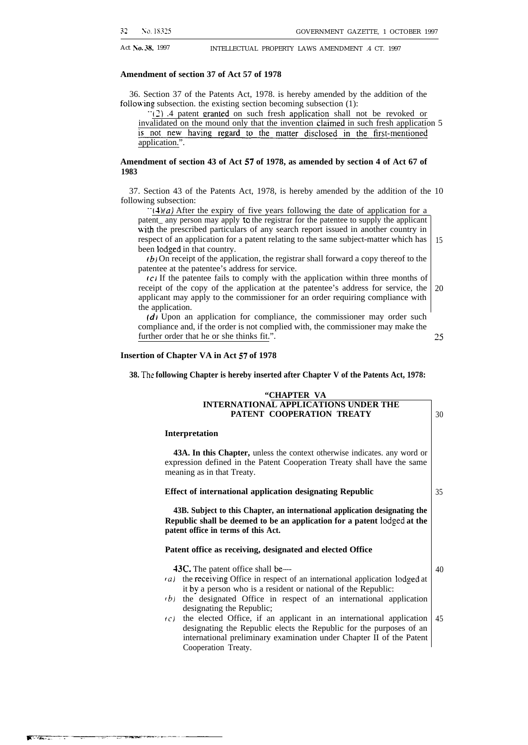Act No. 38, 1997 INTELLECTUAL PROPERTY LAWS AMENDMENT .4 CT. 1997

# **Amendment of section 37 of Act 57 of 1978**

36. Section 37 of the Patents Act, 1978. is hereby amended by the addition of the following subsection. the existing section becoming subsection  $(1)$ :

 $(2)$  .4 patent granted on such fresh application shall not be revoked or invalidated on the mound only that the invention claimed in such fresh application 5 is not new having regard to the matter disclosed in the first-mentioned application.".

# **Amendment of section 43 of Act 57 of 1978, as amended by section 4 of Act 67 of 1983**

37. Section 43 of the Patents Act, 1978, is hereby amended by the addition of the 10 following subsection:

No. 18325<br> **COVERNMENT GAZETTE.** 1 OCTOBER 19<br> **COVERNMENT GAZETTE.** 1 OCTOBER 19<br> **COVERNMENT ACT.** 1997<br> **COVERNMENT 4 CT.** 1997<br> **COVERNMENT 4 CT.** 1997<br> **COVERNMENT 4 CT.** 1997<br> **COVERNMENT 4 CT.** 1997<br> **COVERNMENT 4**  $\Gamma(4)(a)$  After the expiry of five years following the date of application for a patent\_ any person may apply to the registrar for the patentee to supply the applicant with the prescribed particulars of any search report issued in another country in respect of an application for a patent relating to the same subject-matter which has been lodged in that country. 15

 $(b)$  On receipt of the application, the registrar shall forward a copy thereof to the patentee at the patentee's address for service.

 $(c)$  If the patentee fails to comply with the application within three months of receipt of the copy of the application at the patentee's address for service, the applicant may apply to the commissioner for an order requiring compliance with the application. 20

 $(d)$  Upon an application for compliance, the commissioner may order such compliance and, if the order is not complied with, the commissioner may make the further order that he or she thinks fit.". 25

30

35

40

# **Insertion of Chapter VA in Act 57 of 1978**

**38. The following Chapter is hereby inserted after Chapter V of the Patents Act, 1978:**

## **"CHAPTER VA INTERNATIONAL APPLICATIONS UNDER THE PATENT COOPERATION TREATY**

#### **Interpretation**

 $\overline{2}$ 

**43A. In this Chapter,** unless the context otherwise indicates. any word or expression defined in the Patent Cooperation Treaty shall have the same meaning as in that Treaty.

#### **Effect of international application designating Republic**

**43B. Subject to this Chapter, an international application designating the Republic shall be deemed to be an application for a patent lodged at the patent office in terms of this Act.**

## **Patent office as receiving, designated and elected Office**

43C. The patent office shall be—

- $(a)$  the receiving Office in respect of an international application lodged at it by a person who is a resident or national of the Republic:
- $(b)$  the designated Office in respect of an international application designating the Republic;
- $\epsilon$ ) the elected Office, if an applicant in an international application designating the Republic elects the Republic for the purposes of an international preliminary examination under Chapter II of the Patent Cooperation Treaty. 45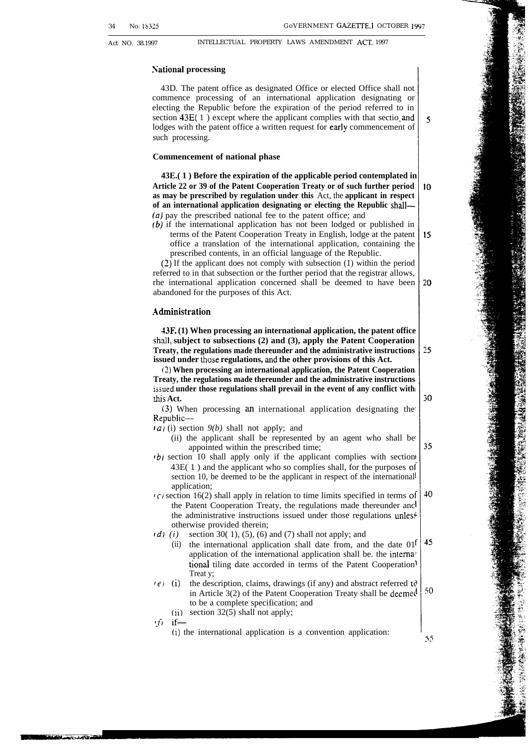#### Act NO. 38.1997 INTELLECTUAL PROPERTY LAWS AMENDMENT ACT. 1997

### **Xational processing**

43D. The patent office as designated Office or elected Office shall not commence processing of an international application designating or electing the Republic before the expiration of the period referred to in section  $43E(1)$  except where the applicant complies with that section and lodges with the patent office a written request for early commencement of such processing.

# **Commencement of national phase**

**43E.( 1 ) Before the expiration of the applicable period contemplated in Article 22 or 39 of the Patent Cooperation Treaty or of such further period** 10 **as may be prescribed by regulation under this** Act, the **applicant in respect of an international application designating or electing the Republic shall—** *(a)* pay the prescribed national fee to the patent office; and

- (b) if the international application has not been lodged or published in terms of the Patent Cooperation Treaty in English, lodge at the patent office a translation of the international application, containing the
	- prescribed contents, in an official language of the Republic.

(2) If the applicant does not comply with subsection (1) within the period referred to in that subsection or the further period that the registrar allows, rhe international application concerned shall be deemed to have been 20 abandoned for the purposes of this Act.

#### **.idministration**

**43F. (1) When processing an international application, the patent office shall, subject to subsections (2) and (3), apply the Patent Cooperation Treaty, the regulations made thereunder and the administrative instructions** 25 **issued under those regulations, and the other provisions of this Act.**

**(2) When processing an international application, the Patent Cooperation Treaty, the regulations made thereunder and the administrative instructions issued under those regulations shall prevail in the event of any conflict with tiis Act.**

**(3)** When processing an international application designating the Rcpublic—

- $(a)$  (i) section  $9(b)$  shall not apply; and
	- (ii) the applicant shall be represented by an agent who shall be appointed within the prescribed time; 35
- $(b)$  section 10 shall apply only if the applicant complies with section 43E( 1 ) and the applicant who so complies shall, for the purposes of section 10, be deemed to be the applicant in respect of the international application;
- 40  $(c)$  section 16(2) shall apply in relation to time limits specified in terms of the Patent Cooperation Treaty, the regulations made thereunder anc the administrative instructions issued under those regulations unless otherwise provided therein;
- *(d) (i)* section  $30(1)$ ,  $(5)$ ,  $(6)$  and  $(7)$  shall not apply; and
	- 45 (ii) the international application shall date from, and the date 01<sup>f</sup> application of the international application shall be. the intema tional tiling date accorded in terms of the Patent Cooperation Treat y;
- $(e)$  (i) the description, claims, drawings (if any) and abstract referred  $t\phi$  $50$ in Article  $3(2)$  of the Patent Cooperation Treaty shall be deemed to be a complete specification; and
	- (ii) section 32(5) shall not apply;
- $r\hat{t}$  if—
	- (i) the international application is a convention application:
- 55

15

30

Service of the Service

5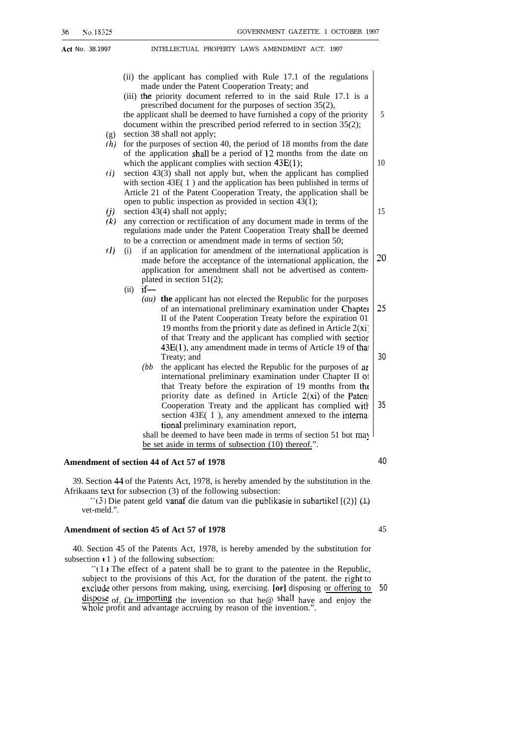*.4ct No. 38.1997*

(g)  $(h)$ 

*(i)*

*0) (k)*

*(1)*

**Amendment of** 

INTELLECTUAL PROPERTY LAWS AMENDMENT ACT. 1997

| (ii) the applicant has complied with Rule 17.1 of the regulations<br>made under the Patent Cooperation Treaty; and                                                                                                                                                                                                                                                                                                                   |    |  |  |  |  |  |  |
|--------------------------------------------------------------------------------------------------------------------------------------------------------------------------------------------------------------------------------------------------------------------------------------------------------------------------------------------------------------------------------------------------------------------------------------|----|--|--|--|--|--|--|
| (iii) the priority document referred to in the said Rule 17.1 is a<br>prescribed document for the purposes of section 35(2),<br>the applicant shall be deemed to have furnished a copy of the priority<br>document within the prescribed period referred to in section 35(2);<br>section 38 shall not apply;                                                                                                                         |    |  |  |  |  |  |  |
| for the purposes of section 40, the period of 18 months from the date<br>of the application shall be a period of 12 months from the date on<br>10<br>which the applicant complies with section $43E(1)$ ;<br>section 43(3) shall not apply but, when the applicant has complied<br>with section $43E(1)$ and the application has been published in terms of<br>Article 21 of the Patent Cooperation Treaty, the application shall be |    |  |  |  |  |  |  |
| open to public inspection as provided in section $43(1)$ ;<br>section $43(4)$ shall not apply;<br>any correction or rectification of any document made in terms of the<br>regulations made under the Patent Cooperation Treaty shall be deemed                                                                                                                                                                                       | 15 |  |  |  |  |  |  |
| to be a correction or amendment made in terms of section 50;<br>if an application for amendment of the international application is<br>(i)<br>made before the acceptance of the international application, the<br>application for amendment shall not be advertised as contem-<br>plated in section $51(2)$ ;                                                                                                                        |    |  |  |  |  |  |  |
| $if -$<br>(ii)<br>(au) the applicant has not elected the Republic for the purposes<br>of an international preliminary examination under Chapter<br>II of the Patent Cooperation Treaty before the expiration 01<br>19 months from the priority date as defined in Article $2(xi)$<br>of that Treaty and the applicant has complied with sectior                                                                                      | 25 |  |  |  |  |  |  |
| $43E(1)$ , any amendment made in terms of Article 19 of that<br>Treaty; and<br>the applicant has elected the Republic for the purposes of ar<br>(bb)<br>international preliminary examination under Chapter II of<br>that Treaty before the expiration of 19 months from the                                                                                                                                                         | 30 |  |  |  |  |  |  |
| priority date as defined in Article $2(xi)$ of the Paten<br>Cooperation Treaty and the applicant has complied with<br>section $43E(1)$ , any amendment annexed to the interna-<br>tional preliminary examination report,<br>shall be deemed to have been made in terms of section 51 but may<br>be set aside in terms of subsection (10) thereof.".                                                                                  | 35 |  |  |  |  |  |  |
| section 44 of Act 57 of 1978                                                                                                                                                                                                                                                                                                                                                                                                         | 40 |  |  |  |  |  |  |

39. Section 44 of the Patents Act, 1978, is hereby amended by the substitution in the Afrikaans text for subsection  $(3)$  of the following subsection:

 $\degree$ (3) Die patent geld vanaf die datum van die publikasie in subartikel [(2)] (1) vet-meld.".

# **Amendment of section 45 of Act 57 of 1978**

40. Section 45 of the Patents Act, 1978, is hereby amended by the substitution for subsection  $(1)$  of the following subsection:

" $(1)$  The effect of a patent shall be to grant to the patentee in the Republic, subject to the provisions of this Act, for the duration of the patent. the right to exclude other persons from making, using, exercising. [or] disposing or offering to 50 dispose of. Or importing the invention so that he@ shall have and enjoy the whole profit and advantage accruing by reason of the invention.".

45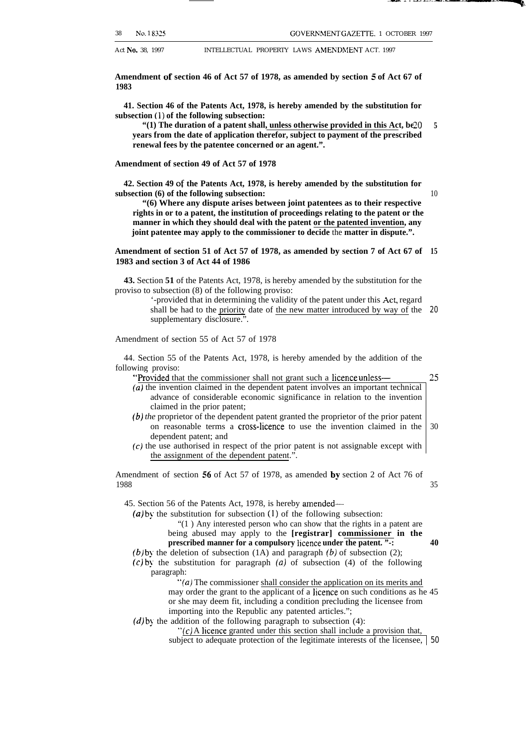., . . ...."...=..—\_

**5**

10

**----k**

Act No. 38, 1997 **INTELLECTUAL PROPERTY LAWS AMENDMENT ACT.** 1997

**Amendment of section 46 of Act 57 of 1978, as amended by section 5 of Act 67 of 1983**

**41. Section 46 of the Patents Act, 1978, is hereby amended by the substitution for subsection (1) of the following subsection:**

"(1) The duration of a patent shall, unless otherwise provided in this Act, be20 **years from the date of application therefor, subject to payment of the prescribed renewal fees by the patentee concerned or an agent.".**

**Amendment of section 49 of Act 57 of 1978**

**42. Section 49 of the Patents Act, 1978, is hereby amended by the substitution for subsection (6) of the following subsection:**

**"(6) Where any dispute arises between joint patentees as to their respective rights in or to a patent, the institution of proceedings relating to the patent or the manner in which they should deal with the patent or the patented invention, any joint patentee may apply to the commissioner to decide** the **matter in dispute.".**

**Amendment of section 51 of Act 57 of 1978, as amended by section 7 of Act 67 of 15 1983 and section 3 of Act 44 of 1986**

**43.** Section **51** of the Patents Act, 1978, is hereby amended by the substitution for the proviso to subsection (8) of the following proviso:

> '-provided that in determining the validity of the patent under this ACL regard shall be had to the priority date of the new matter introduced by way of the 20 supplementary disclosure.".

Amendment of section 55 of Act 57 of 1978

44. Section 55 of the Patents Act, 1978, is hereby amended by the addition of the following proviso:

"Provided that the commissioner shall not grant such a licence unless— 25

- *(a)* the invention claimed in the dependent patent involves an important technical advance of considerable economic significance in relation to the invention claimed in the prior patent;
- *(b) the* proprietor of the dependent patent granted the proprietor of the prior patent on reasonable terms a cross-licence to use the invention claimed in the  $\vert$  30 dependent patent; and
- (c) the use authorised in respect of the prior patent is not assignable except with the assignment of the dependent patent.'

Amendment of section 56 of Act 57 of 1978, as amended by section 2 of Act 76 of  $1988$  35

45. Section 56 of the Patents Act, 1978, is hereby amended—

- *(a)* by the substitution for subsection (1) of the following subsection: "(1 ) Any interested person who can show that the rights in a patent are being abused may apply to the **[registrar] commissioner in the prescribed manner for a compulsory licence under the patent. "-: 40**
- *(b)* by the deletion of subsection  $(1A)$  and paragraph *(b)* of subsection  $(2)$ ;
- (c) by the substitution for paragraph (a) of subsection (4) of the following paragraph:

*"(a)* The commissioner shall consider the application on its merits and may order the grant to the applicant of a licence on such conditions as he 45 or she may deem fit, including a condition precluding the licensee from importing into the Republic any patented articles.";

 $(d)$  by the addition of the following paragraph to subsection (4):

 $\mathcal{C}(c)$  A licence granted under this section shall include a provision that, subject to adequate protection of the legitimate interests of the licensee,  $\vert 50 \rangle$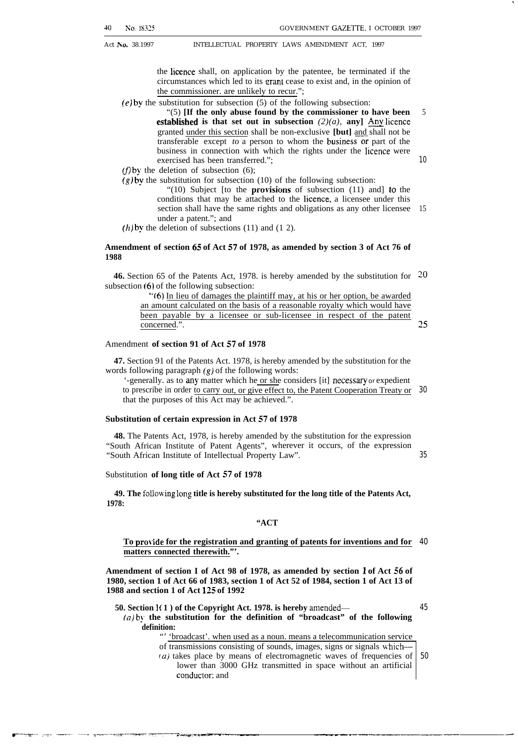.

the licence shall, on application by the patentee, be terminated if the circumstances which led to its grant cease to exist and, in the opinion of the commissioner. are unlikely to recur.";

- $(e)$  by the substitution for subsection (5) of the following subsection:
	- "(5) **[If the only abuse found by the commissioner to have been established is that set out in subsection**  $(2)(a)$ , any] Any licence granted under this section shall be non-exclusive **[but]** and shall not be transferable except *to* a person to whom the business or part of the business in connection with which the rights under the licence were exercised has been transferred."; 5 10
- (*f*) by the deletion of subsection  $(6)$ ;
- $(g)$  by the substitution for subsection (10) of the following subsection:

"(10) Subject [to the **provisions** of subsection  $(11)$  and] to the conditions that may be attached to the licence, a licensee under this section shall have the same rights and obligations as any other licensee 15 under a patent."; and

 $(h)$  by the deletion of subsections  $(11)$  and  $(1 2)$ .

# **Amendment of section 65 of Act 57 of 1978, as amended by section 3 of Act 76 of 1988**

**46.** Section 65 of the Patents Act, 1978. is hereby amended by the substitution for 20 subsection  $(6)$  of the following subsection:

|              |  |  | $\cdot$ (6) In lieu of damages the plaintiff may, at his or her option, be awarded |  |  |  |
|--------------|--|--|------------------------------------------------------------------------------------|--|--|--|
|              |  |  | an amount calculated on the basis of a reasonable royalty which would have         |  |  |  |
|              |  |  | been payable by a licensee or sub-licensee in respect of the patent                |  |  |  |
| concerned.". |  |  |                                                                                    |  |  |  |

# Amendment **of section 91 of Act 57 of 1978**

**47.** Section 91 of the Patents Act. 1978, is hereby amended by the substitution for the words following paragraph  $(g)$  of the following words:

'-generally. as to any matter which he or she considers [it] necessary or expedient to prescribe in order to carry out, or give effect to, the Patent Cooperation Treaty or that the purposes of this Act may be achieved.". 30

#### **Substitution of certain expression in Act** 57 **of 1978**

**48.** The Patents Act, 1978, is hereby amended by the substitution for the expression "South African Institute of Patent Agents", wherever it occurs, of the expression "South African Institute of Intellectual Property Law".

# Substitution **of long title of Act 57 of 1978**

49. The following long title is hereby substituted for the long title of the Patents Act, **1978:**

#### **"ACT**

**To pro}ide for the registration and granting of patents for inventions and for** 40 **matters connected therewith."'.**

**Amendment of section I of Act 98 of 1978, as amended by section 1 of Act 56 of 1980, section 1 of Act 66 of 1983, section 1 of Act 52 of 1984, section 1 of Act 13 of 1988 and section 1 of Act 125 of 1992**

**50. Section 1(1) of the Copyright Act. 1978. is hereby amended—** 

45

25

35

 $(a)$  by the substitution for the definition of "broadcast" of the following **definition:**

\_.\_.. ,–7. .—. -—-- .=---- S.--.-T—-—. ~., ...-,—..— —....—\_\_\_\_\_ ——

" 'broadcast'. when used as a noun. means a telecommunication service

of transmissions consisting of sounds, images, signs or signals which— (a) takes place by means of electromagnetic waves of frequencies of  $\vert 50 \rangle$ lower than 3000 GHz transmitted in space without an artificial conductor; and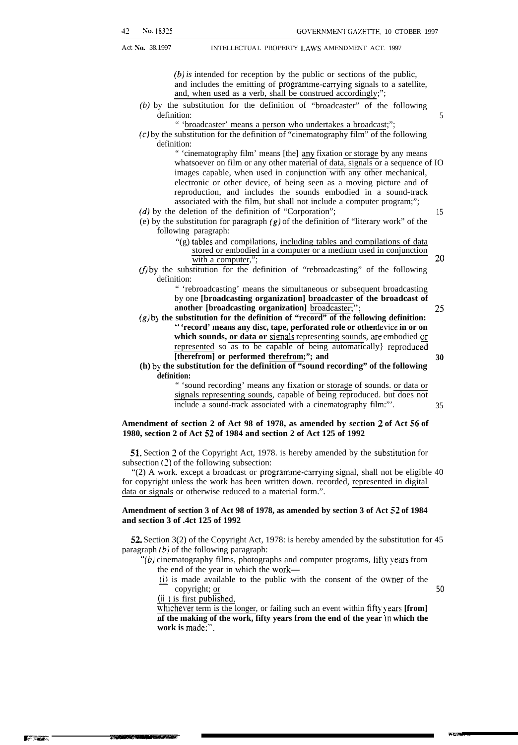Act No. 38.1997 INTELLECTUAL PROPERTY LAWS AMENDMENT ACT. 1997

*(b) is* intended for reception by the public or sections of the public, and includes the emitting of programme-carrying signals to a satellite, and, when used as a verb, shall be construed accordingly;";

*(b)* by the substitution for the definition of "broadcaster" of the following definition: 5

" 'broadcaster' means a person who undertakes a broadcast;";

(c) by the substitution for the definition of "cinematography film" of the following definition:

" 'cinematography film' means [the] any fixation or storage by any means whatsoever on film or any other material of data, signals or a sequence of IO images capable, when used in conjunction with any other mechanical, electronic or other device, of being seen as a moving picture and of reproduction, and includes the sounds embodied in a sound-track associated with the film, but shall not include a computer program;";

- (d) by the deletion of the definition of "Corporation"; 15
- (e) by the substitution for paragraph  $(g)$  of the definition of "literary work" of the following paragraph:
	- "(g) tables and compilations, including tables and compilations of data stored or embodied in a computer or a medium used in conjunction with a computer,";  $20$
- $f$ ) by the substitution for the definition of "rebroadcasting" of the following definition:

" 'rebroadcasting' means the simultaneous or subsequent broadcasting by one **[broadcasting organization] broadcaster of the broadcast of another [broadcasting organization] broadcaster;**";  $25$ 

- **(g) by the substitution for the definition of "record" of the following definition:** " 'record' means any disc, tape, perforated role or other device in or on which sounds, or data or signals representing sounds, are embodied or represented so as to be capable of being automatically} reproduced **[therefrom] or performed therefrom;"; and 30**
- **(h) by the substitution for the definition of "sound recording" of the following definition:**

" 'sound recording' means any fixation or storage of sounds. or data or signals representing sounds, capable of being reproduced. but does not include a sound-track associated with a cinematography film:". 35

# **Amendment of section 2 of Act 98 of 1978, as amended by section 2 of Act 56 of 1980, section 2 of Act 52 of 1984 and section 2 of Act 125 of 1992**

**51.** Section 2 of the Copyright Act, 1978. is hereby amended by the substitution for subsection (2) of the following subsection:

"(2) A work. except a broadcast or programme-carrying signal, shall not be eligible 40 for copyright unless the work has been written down. recorded, represented in digital data or signals or otherwise reduced to a material form.".

# **Amendment of section 3 of Act 98 of 1978, as amended by section 3 of Act 52 of 1984 and section 3 of .4ct 125 of 1992**

52. Section 3(2) of the Copyright Act, 1978: is hereby amended by the substitution for 45 paragraph *(b)* of the following paragraph:

" $(b)$  cinematography films, photographs and computer programs, fifty years from the end of the year in which the work—

(i) is made available to the public with the consent of the owner of the copyright; or 50

 $(ii)$  is first published,

whichever term is the longer, or failing such an event within fifty years [from] **—of the making of the work, fifty years from the end of the year In which the work is made:".**

**BY THEFT**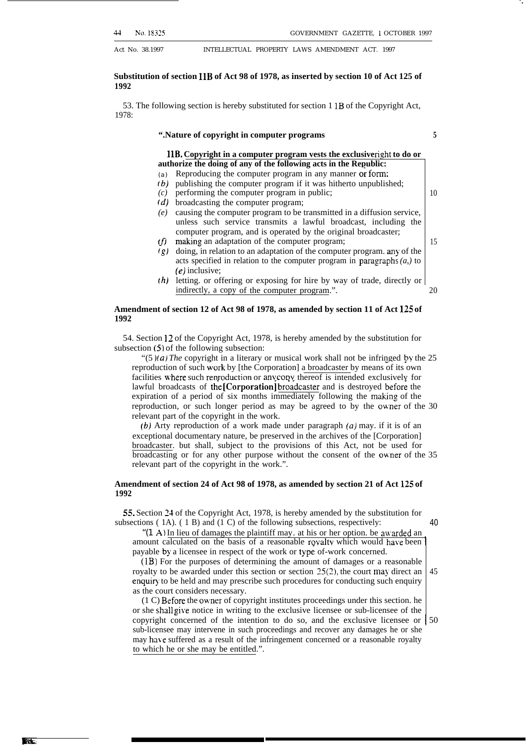Act No. 38.1997 INTELLECTUAL PROPERTY LAWS AMENDMENT ACT. 1997

# **Substitution of section llB of Act 98 of 1978, as inserted by section 10 of Act 125 of 1992**

53. The following section is hereby substituted for section 1 lB of the Copyright Act, 1978:

# **".Nature of copyright in computer programs 5**

-.

|                   | 11B. Copyright in a computer program vests the exclusiveright to do or                                                                                                                                      |    |
|-------------------|-------------------------------------------------------------------------------------------------------------------------------------------------------------------------------------------------------------|----|
|                   | authorize the doing of any of the following acts in the Republic:                                                                                                                                           |    |
| (a)               | Reproducing the computer program in any manner or form:                                                                                                                                                     |    |
| (b)               | publishing the computer program if it was hitherto unpublished;                                                                                                                                             |    |
| (c)               | performing the computer program in public;                                                                                                                                                                  | 10 |
| (d)               | broadcasting the computer program;                                                                                                                                                                          |    |
| (e)               | causing the computer program to be transmitted in a diffusion service,<br>unless such service transmits a lawful broadcast, including the<br>computer program, and is operated by the original broadcaster; |    |
| (f)               | making an adaptation of the computer program;                                                                                                                                                               | 15 |
| $\left( q\right)$ | doing, in relation to an adaptation of the computer program. any of the<br>acts specified in relation to the computer program in paragraphs $(a, b)$ to<br>$(e)$ inclusive:                                 |    |
|                   | (h) letting. or offering or exposing for hire by way of trade, directly or<br>indirectly, a copy of the computer program.".                                                                                 |    |

# **Amendment of section 12 of Act 98 of 1978, as amended by section 11 of Act 125 of 1992**

54. Section 12 of the Copyright Act, 1978, is hereby amended by the substitution for subsection (5) of the following subsection:

"(5 $\frac{1}{2}$  *(a) The copyright in a literary or musical work shall not be infringed by the 25* reproduction of such work by [the Corporation] a broadcaster by means of its own facilities where such reproduction or any copy thereof is intended exclusively for lawful broadcasts of the  $[Corporation]$  broadcaster and is destroyed before the expiration of a period of six months immediately following the making of the reproduction, or such longer period as may be agreed to by the owner of the 30 relevant part of the copyright in the work.

(b) Arty reproduction of a work made under paragraph *(a)* may. if it is of an exceptional documentary nature, be preserved in the archives of the [Corporation] broadcaster. but shall, subject to the provisions of this Act, not be used for broadcasting or for any other purpose without the consent of the owner of the 35 relevant part of the copyright in the work.".

### **Amendment of section 24 of Act 98 of 1978, as amended by section 21 of Act 125 of 1992**

55. Section 24 of the Copyright Act, 1978, is hereby amended by the substitution for subsections  $(1A)$ .  $(1 B)$  and  $(1 C)$  of the following subsections, respectively: 40

" $(1 A)$  In lieu of damages the plaintiff may. at his or her option. be awarded an amount calculated on the basis of a reasonable royalty which would have been payable by a licensee in respect of the work or type of-work concerned.

(lB) For the purposes of determining the amount of damages or a reasonable royalty to be awarded under this section or section  $25(2)$ , the court may direct an enquiry to be held and may prescribe such procedures for conducting such enquiry as the court considers necessary. 45

(1 C) Before the oumer of copyright institutes proceedings under this section. he or she shall give notice in writing to the exclusive licensee or sub-licensee of the copyright concerned of the intention to do so, and the exclusive licensee or  $\vert$  50 sub-licensee may intervene in such proceedings and recover any damages he or she may have suffered as a result of the infringement concerned or a reasonable royalty to which he or she may be entitled.".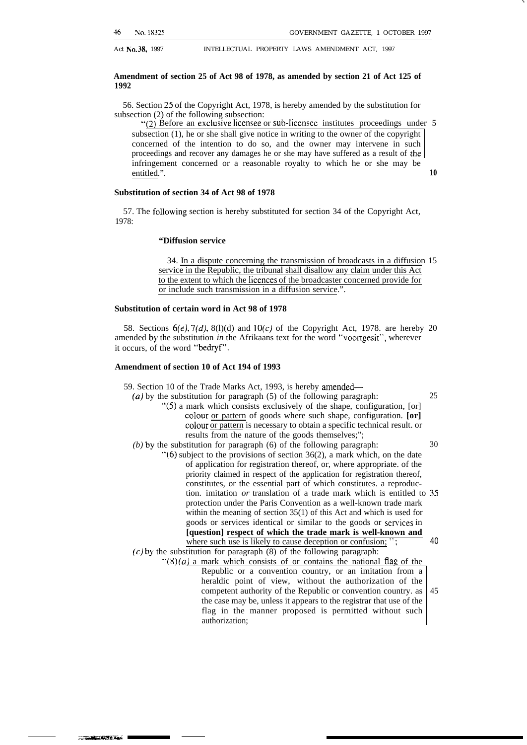46 No. 1s325 GOVERNMENT GAZETTE, 1 OCTOBER 1997

\

Act No. 38, 1997 **INTELLECTUAL PROPERTY LAWS AMENDMENT ACT, 1997** 

# **Amendment of section 25 of Act 98 of 1978, as amended by section 21 of Act 125 of 1992**

56. Section 25 of the Copyright Act, 1978, is hereby amended by the substitution for subsection (2) of the following subsection:

 $''(2)$  Before an exclusive licensee or sub-licensee institutes proceedings under 5 subsection (1), he or she shall give notice in writing to the owner of the copyright concerned of the intention to do so, and the owner may intervene in such proceedings and recover any damages he or she may have suffered as a result of the infringement concerned or a reasonable royalty to which he or she may be entitled.". **10**

# **Substitution of section 34 of Act 98 of 1978**

57. The following section is hereby substituted for section 34 of the Copyright Act, 1978:

#### **"Diffusion service**

34. In a dispute concerning the transmission of broadcasts in a diffusion 15 service in the Republic, the tribunal shall disallow any claim under this Act to the extent to which the Iicences of the broadcaster concerned provide for or include such transmission in a diffusion service.".

# **Substitution of certain word in Act 98 of 1978**

58. Sections  $6(e)$ ,  $7(d)$ ,  $8(1)(d)$  and  $10(c)$  of the Copyright Act, 1978. are hereby 20 amended by the substitution *in* the Afrikaans text for the word "voortgesit", wherever it occurs, of the word "bedryf".

#### **Amendment of section 10 of Act 194 of 1993**

 $A \times B \times A$ 

59. Section 10 of the Trade Marks Act, 1993, is hereby amended— *(a)* by the substitution for paragraph (5) of the following paragraph: 25 .'(5) a mark which consists exclusively of the shape, configuration, [or] colour or pattern of goods where such shape, configuration. **[or]** colour or pattern is necessary to obtain a specific technical result. or results from the nature of the goods themselves;"; *(b)* by the substitution for paragraph (6) of the following paragraph: 30  $\cdot$ (6) subject to the provisions of section 36(2), a mark which, on the date of application for registration thereof, or, where appropriate. of the priority claimed in respect of the application for registration thereof, constitutes, or the essential part of which constitutes. a reproduction. imitation *or* translation of a trade mark which is entitled to 35 protection under the Paris Convention as a well-known trade mark within the meaning of section 35(1) of this Act and which is used for goods or services identical or similar to the goods or semices in **[question] respect of which the trade mark is well-known and** where such use is likely to cause deception or confusion;  $\cdot$  : 40  $(c)$  by the substitution for paragraph  $(8)$  of the following paragraph:  $\cdot$ (8)(*a*) a mark which consists of or contains the national flag of the Republic or a convention country, or an imitation from a heraldic point of view, without the authorization of the competent authority of the Republic or convention country. as  $\vert 45 \rangle$ the case may be, unless it appears to the registrar that use of the flag in the manner proposed is permitted without such authorization;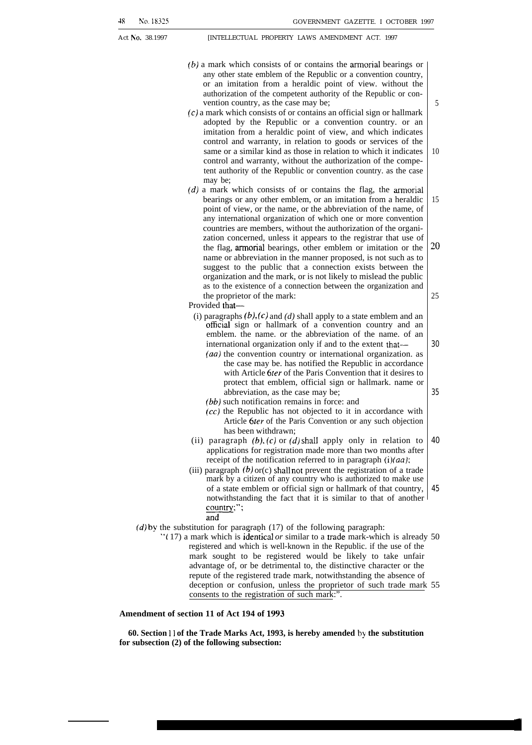5

10

30

35

Act No. 38.1997 [INTELLECTUAL PROPERTY LAWS AMENDMENT ACT. 1997

- (b) a mark which consists of or contains the arrnorial bearings or any other state emblem of the Republic or a convention country, or an imitation from a heraldic point of view. without the authorization of the competent authority of the Republic or convention country, as the case may be; (c) a mark which consists of or contains an official sign or hallmark adopted by the Republic or a convention country. or an imitation from a heraldic point of view, and which indicates
	- control and warranty, in relation to goods or services of the same or a similar kind as those in relation to which it indicates control and warranty, without the authorization of the competent authority of the Republic or convention country. as the case may be;
- $(d)$  a mark which consists of or contains the flag, the armorial bearings or any other emblem, or an imitation from a heraldic point of view, or the name, or the abbreviation of the name, of any international organization of which one or more convention countries are members, without the authorization of the organization concerned, unless it appears to the registrar that use of the flag, arrnorial bearings, other emblem or imitation or the name or abbreviation in the manner proposed, is not such as to suggest to the public that a connection exists between the organization and the mark, or is not likely to mislead the public as to the existence of a connection between the organization and the proprietor of the mark: 15 20 25

#### Provided that—

- (i) paragraphs  $(b)$ ,  $(c)$  and  $(d)$  shall apply to a state emblem and an official sign or hallmark of a convention country and an emblem. the name. or the abbreviation of the name. of an international organization only if and to the extent that—
	- *(aa)* the convention country or international organization. as the case may be. has notified the Republic in accordance with Article *6ter* of the Paris Convention that it desires to protect that emblem, official sign or hallmark. name or abbreviation, as the case may be;
	- (bb) such notification remains in force: and
	- (cc) the Republic has not objected to it in accordance with Article 6ter of the Paris Convention or any such objection has been withdrawn;
- (ii) paragraph  $(b)$ ,  $(c)$  or  $(d)$  shall apply only in relation to applications for registration made more than two months after receipt of the notification referred to in paragraph  $(i)(aa)$ : 40
- (iii) paragraph (b) or(c) *shall not* prevent the registration of a trade mark by a citizen of any country who is authorized to make use of a state emblem or official sign or hallmark of that country, notwithstanding the fact that it is similar to that of another country;"; 45
	- and
- *(d)* by the substitution for paragraph (17) of the following paragraph:
	- "(17) a mark which is *identical or similar to a trade mark-which is already 50* registered and which is well-known in the Republic. if the use of the mark sought to be registered would be likely to take unfair advantage of, or be detrimental to, the distinctive character or the repute of the registered trade mark, notwithstanding the absence of deception or confusion, unless the proprietor of such trade mark 55 consents to the registration of such mark:".

# **Amendment of section 11 of Act 194 of 1993**

**60. Section 11 of the Trade Marks Act, 1993, is hereby amended by the substitution for subsection (2) of the following subsection:**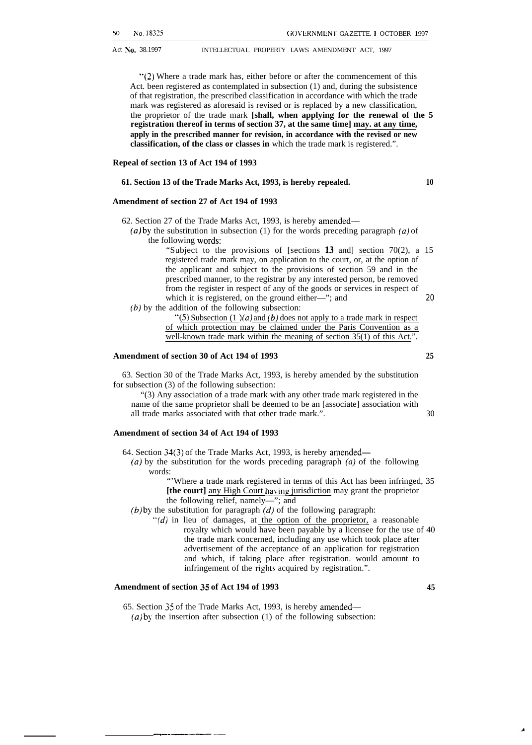Act No. 38.1997 **INTELLECTUAL PROPERTY LAWS AMENDMENT ACT, 1997** 

"(2) Where a trade mark has, either before or after the commencement of this Act. been registered as contemplated in subsection (1) and, during the subsistence of that registration, the prescribed classification in accordance with which the trade mark was registered as aforesaid is revised or is replaced by a new classification, the proprietor of the trade mark **[shall, when applying for the renewal of the 5 registration thereof in terms of section 37, at the same time] may. at any time, apply in the prescribed manner for revision, in accordance with the revised or new classification, of the class or classes in** which the trade mark is registered.".

#### **Repeal of section 13 of Act 194 of 1993**

**61. Section 13 of the Trade Marks Act, 1993, is hereby repealed. 10**

# **Amendment of section 27 of Act 194 of 1993**

62. Section 27 of the Trade Marks Act, 1993, is hereby amended—

(a) by the substitution in subsection (1) for the words preceding paragraph (a) of the following words:

> "Subject to the provisions of [sections 13 and] section  $70(2)$ , a 15 registered trade mark may, on application to the court, or, at the option of the applicant and subject to the provisions of section 59 and in the prescribed manner, to the registrar by any interested person, be removed from the register in respect of any of the goods or services in respect of which it is registered, on the ground either—"; and 20

 $(b)$  by the addition of the following subsection:

"(5) Subsection  $(1)(a)$  and  $(b)$  does not apply to a trade mark in respect of which protection may be claimed under the Paris Convention as a well-known trade mark within the meaning of section  $35(1)$  of this Act."

#### **Amendment of section 30 of Act 194 of 1993 25**

63. Section 30 of the Trade Marks Act, 1993, is hereby amended by the substitution for subsection (3) of the following subsection:

"(3) Any association of a trade mark with any other trade mark registered in the name of the same proprietor shall be deemed to be an [associate] association with all trade marks associated with that other trade mark." 30

## **Amendment of section 34 of Act 194 of 1993**

64. Section 34(3) of the Trade Marks Act, 1993, is hereby amended-

*(a)* by the substitution for the words preceding paragraph *(a)* of the following words:

"'Where a trade mark registered in terms of this Act has been infringed, 35 [the court] any High Court having jurisdiction may grant the proprietor the following relief, namely—"; and

 $(b)$  by the substitution for paragraph  $(d)$  of the following paragraph:

 $''(d)$  in lieu of damages, at the option of the proprietor, a reasonable royalty which would have been payable by a licensee for the use of 40 the trade mark concerned, including any use which took place after advertisement of the acceptance of an application for registration and which, if taking place after registration. would amount to infringement of the rights acquired by registration.".

# **Amendment of section 35 of Act 194 of 1993 45**

\_——\_——-—. .—

65. Section 35 of the Trade Marks Act, 1993, is hereby amended—  $(a)$  by the insertion after subsection (1) of the following subsection: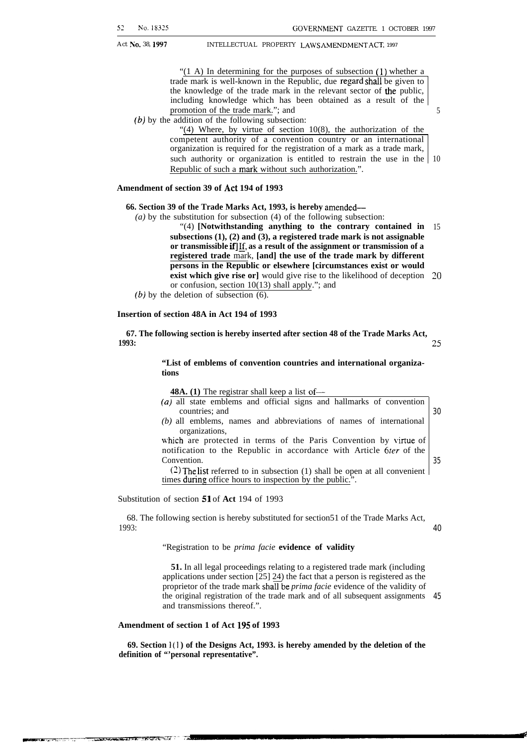Act No. 38, 1997 **INTELLECTUAL PROPERTY LAWS AMENDMENT ACT.** 1997

"(1 A) In determining for the purposes of subsection  $(1)$  whether a trade mark is well-known in the Republic, due regard shall be given to the knowledge of the trade mark in the relevant sector of the public, including knowledge which has been obtained as a result of the promotion of the trade mark."; and 5

*(b)* by the addition of the following subsection:

"(4) Where, by virtue of section 10(8), the authorization of the competent authority of a convention country or an international organization is required for the registration of a mark as a trade mark, such authority or organization is entitled to restrain the use in the  $\vert$  10 Republic of such a mark without such authorization.".

# **Amendment of section 39 of Act 194 of 1993**

**66. Section 39 of the Trade Marks Act, 1993, is hereby amended—**

*(a)* by the substitution for subsection (4) of the following subsection:

"(4) **[Notwithstanding anything to the contrary contained in** 15 **subsections (1), (2) and (3), a registered trade mark is not assignable or transmissible ifl IJ, as a result of the assignment or transmission of a registered trade** mark, **[and] the use of the trade mark by different persons in the Republic or elsewhere [circumstances exist or would exist which give rise or]** would give rise to the likelihood of deception 20 or confusion, section 10(13) shall apply."; and

*(b)* by the deletion of subsection (6).

# **Insertion of section 48A in Act 194 of 1993**

**67. The following section is hereby inserted after section 48 of the Trade Marks Act, 1993:** 25

> **"List of emblems of convention countries and international organizations**

**48A. (1)** The registrar shall keep a list of—

( $a$ ) all state emblems and official signs and hallmarks of convention countries; and

30

35

40

*(b)* all emblems, names and abbreviations of names of international organizations,

which are protected in terms of the Paris Convention by virtue of notification to the Republic in accordance with Article 6ter of the Convention.

 $(2)$  The list referred to in subsection (1) shall be open at all convenient times during office hours to inspection by the public.".

## Substitution of section 51 of **Act** 194 of 1993

68. The following section is hereby substituted for section51 of the Trade Marks Act, 1993:

"Registration to be *prima facie* **evidence of validity**

**51.** In all legal proceedings relating to a registered trade mark (including applications under section [25] 24) the fact that a person is registered as the proprietor of the trade mark shall be *prima facie* evidence of the validity of the original registration of the trade mark and of all subsequent assignments 45and transmissions thereof.".

#### **Amendment of section 1 of Act 195 of 1993**

**69. Section 1(1 ) of the Designs Act, 1993. is hereby amended by the deletion of the definition of "'personal representative".**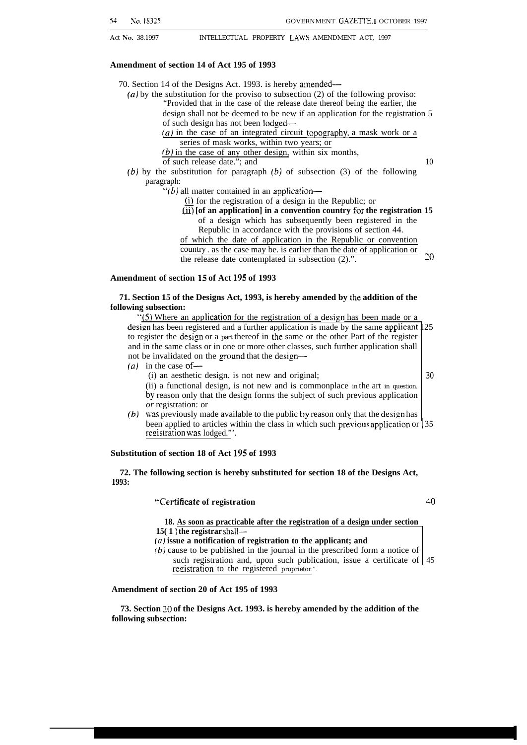Act No. 38.1997 INTELLECTUAL PROPERTY LAWS AMENDMENT ACT, 1997

# **Amendment of section 14 of Act 195 of 1993**

70. Section 14 of the Designs Act. 1993. is hereby amended-

*(a)* by the substitution for the proviso to subsection (2) of the following proviso: "Provided that in the case of the release date thereof being the earlier, the design shall not be deemed to be new if an application for the registration 5

of such design has not been lodged—

- $(a)$  in the case of an integrated circuit topography. a mask work or a series of mask works, within two years; or
- $(b)$  in the case of any other design, within six months,

of such release date."; and 10

(b) by the substitution for paragraph  $(b)$  of subsection (3) of the following paragraph:

 $\cdot$  (*b*) all matter contained in an application—

- $(i)$  for the registration of a design in the Republic; or
- **—**(]1) **[of an application] in a convention country for the registration 15** of a design which has subsequently been registered in the
- Republic in accordance with the provisions of section 44. of which the date of application in the Republic or convention country . as the case may be. is earlier than the date of application or

the release date contemplated in subsection  $(2)$ .".

# **Amendment of section 15 of Act 195 of 1993**

**71. Section 15 of the Designs Act, 1993, is hereby amended by the addition of the following subsection:**

':(5) Where an appIication for the registration of a design has been made or a design has been registered and a further application is made by the same applicant 125 to register the design or a part thereof in the same or the other Part of the register and in the same class or in one or more other classes, such further application shall not be invalidated on the ground that the design—

- (*a*) in the case of
	- (i) an aesthetic design. is not new and original;

30

(ii) a functional design, is not new and is commonplace in the art in question. by reason only that the design forms the subject of such previous application *or* registration: or

 $(b)$  was previously made available to the public by reason only that the design has been applied to articles within the class in which such previous application or  $\vert$  35 registration Was lodged."'.

# **Substitution of section 18 of Act 195 of 1993**

**72. The following section is hereby substituted for section 18 of the Designs Act, 1993:**

# **'"Certificate of registration 40**

**18. As soon as practicable after the registration of a design under section 15( 1 ) the registrar shall—**

**(a) issue a notification of registration to the applicant; and**

*(b)* cause to be published in the journal in the prescribed form a notice of such registration and, upon such publication, issue a certificate of  $|45$ registration to the registered proprietor.".

#### **Amendment of section 20 of Act 195 of 1993**

**73. Section 20 of the Designs Act. 1993. is hereby amended by the addition of the following subsection:**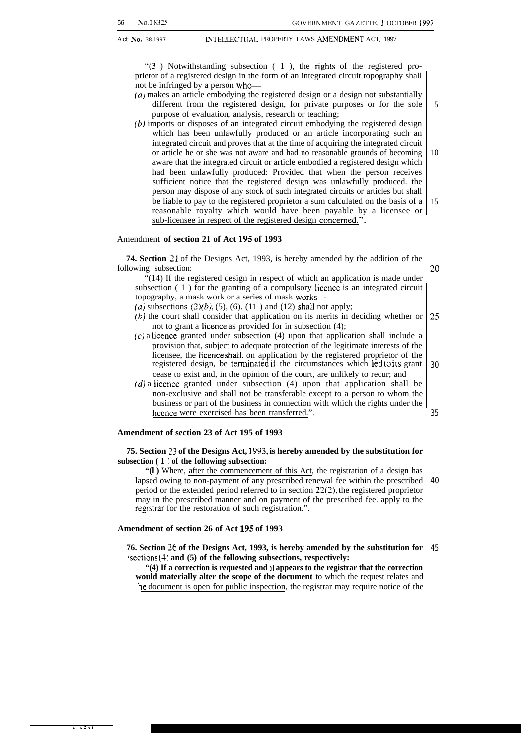$\cdot$ (3) Notwithstanding subsection (1), the rights of the registered proprietor of a registered design in the form of an integrated circuit topography shall not be infringed by a person who-

- *(a)* makes an article embodying the registered design or a design not substantially different from the registered design, for private purposes or for the sole purpose of evaluation, analysis, research or teaching;
- (b) imports or disposes of an integrated circuit embodying the registered design which has been unlawfully produced or an article incorporating such an integrated circuit and proves that at the time of acquiring the integrated circuit or article he or she was not aware and had no reasonable grounds of becoming aware that the integrated circuit or article embodied a registered design which had been unlawfully produced: Provided that when the person receives sufficient notice that the registered design was unlawfully produced. the person may dispose of any stock of such integrated circuits or articles but shall be liable to pay to the registered proprietor a sum calculated on the basis of a reasonable royalty which would have been payable by a licensee or sub-licensee in respect of the registered design concerned.". 10 15

# Amendment **of section 21 of Act 195 of 1993**

**74. Section 21** of the Designs Act, 1993, is hereby amended by the addition of the following subsection:

20

5

"(14) If the registered design in respect of which an application is made under subsection ( 1 ) for the granting of a compulsory licence is an integrated circuit topography, a mask work or a series of mask works—

- (a) subsections  $(2)(b)$ , (5), (6). (11) and (12) shall not apply;
- (b) the court shall consider that application on its merits in deciding whether or not to grant a licence as provided for in subsection (4); 25
- $(c)$  a licence granted under subsection  $(4)$  upon that application shall include a provision that, subject to adequate protection of the legitimate interests of the licensee, the licence shaIl, on application by the registered proprietor of the registered design, be terminated if the circumstances which led to its grant cease to exist and, in the opinion of the court, are unlikely to recur; and 30
- $(d)$  a licence granted under subsection  $(4)$  upon that application shall be non-exclusive and shall not be transferable except to a person to whom the business or part of the business in connection with which the rights under the licence were exercised has been transferred.".

35

# **Amendment of section 23 of Act 195 of 1993**

#### **75. Section 23 of the Designs Act, 1993, is hereby amended by the substitution for** subsection (1) of the following subsection:

**"(l )** Where, after the commencement of this Act, the registration of a design has lapsed owing to non-payment of any prescribed renewal fee within the prescribed period or the extended period referred to in section 22(2). the registered proprietor may in the prescribed manner and on payment of the prescribed fee. apply to the registrar for the restoration of such registration.". 40

#### **Amendment of section 26 of Act 195 of 1993**

**76. Section 26 of the Designs Act, 1993, is hereby amended by the substitution for** 45  $\text{vsections}(4)$  and (5) of the following subsections, respectively:

**"(4) If a correction is requested and it appears to the registrar that the correction would materially alter the scope of the document** to which the request relates and he document is open for public inspection, the registrar may require notice of the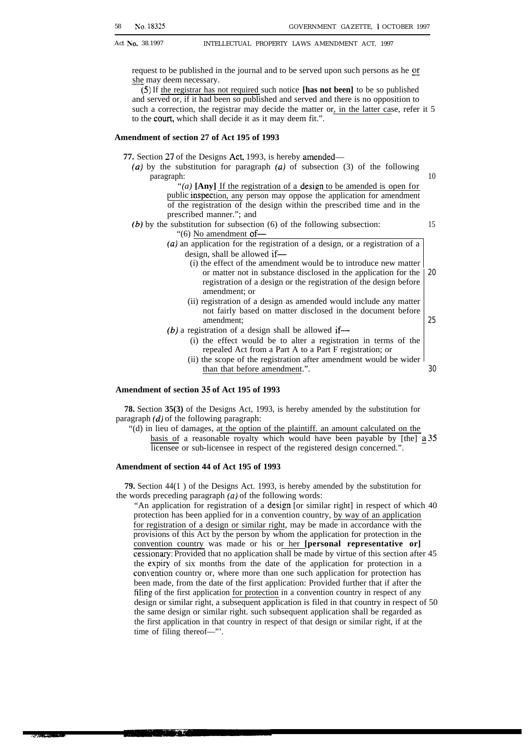10

15

Act No. 38.1997 INTELLECTUAL PROPERTY LAWS AMENDMENT ACT, 1997

request to be published in the journal and to be served upon such persons as he or she may deem necessary.

75) If the registrar has not required such notice **[has not been]** to be so published and served or, if it had been so published and served and there is no opposition to such a correction, the registrar may decide the matter or, in the latter case, refer it 5 to the court, which shall decide it as it may deem fit.".

#### **Amendment of section 27 of Act 195 of 1993**

77. Section 27 of the Designs Act, 1993, is hereby amended—

*(a)* by the substitution for paragraph (a) of subsection (3) of the following paragraph:

> *"(a)* **[Any]** If the registration of a design to be amended is open for public inspection, any person may oppose the application for amendment of the registration of the design within the prescribed time and in the prescribed manner."; and

(b) by the substitution for subsection  $(6)$  of the following subsection: "(6) No amendment of—

- (a) an application for the registration of a design, or a registration of a design, shall be allowed if—
	- (i) the effect of the amendment would be to introduce new matter or matter not in substance disclosed in the application for the registration of a design or the registration of the design before amendment; or 20
	- (ii) registration of a design as amended would include any matter not fairly based on matter disclosed in the document before amendment; 25
- (b) a registration of a design shall be allowed if—
	- (i) the effect would be to alter a registration in terms of the repealed Act from a Part A to a Part F registration; or
	- (ii) the scope of the registration after amendment would be wider than that before amendment.". 30

#### **Amendment of section 35 of Act 195 of 1993**

**78.** Section **35(3)** of the Designs Act, 1993, is hereby amended by the substitution for paragraph  $(d)$  of the following paragraph:

"(d) in lieu of damages, at the option of the plaintiff. an amount calculated on the basis of a reasonable royalty which would have been payable by [the]  $a 35$ licensee or sub-licensee in respect of the registered design concerned.".

#### **Amendment of section 44 of Act 195 of 1993**

**79.** Section 44(1 ) of the Designs Act. 1993, is hereby amended by the substitution for the words preceding paragraph *(a)* of the following words:

"An application for registration of a design [or similar right] in respect of which 40 protection has been applied for in a convention country, by way of an application for registration of a design or similar right, may be made in accordance with the provisions of this Act by the person by whom the application for protection in the convention country was made or his or her **[personal representative or]** cessionary: Provided that no application shall be made by virtue of this section after 45 the expiry of six months from the date of the application for protection in a convention country or, where more than one such application for protection has been made, from the date of the first application: Provided further that if after the filing of the first application for protection in a convention country in respect of any design or similar right, a subsequent application is filed in that country in respect of 50 the same design or similar right. such subsequent application shall be regarded as the first application in that country in respect of that design or similar right, if at the time of filing thereof—"'.